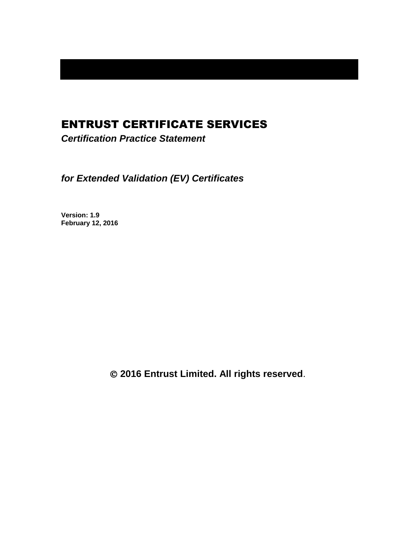# ENTRUST CERTIFICATE SERVICES

*Certification Practice Statement*

*for Extended Validation (EV) Certificates*

**Version: 1.9 February 12, 2016**

**2016 Entrust Limited. All rights reserved**.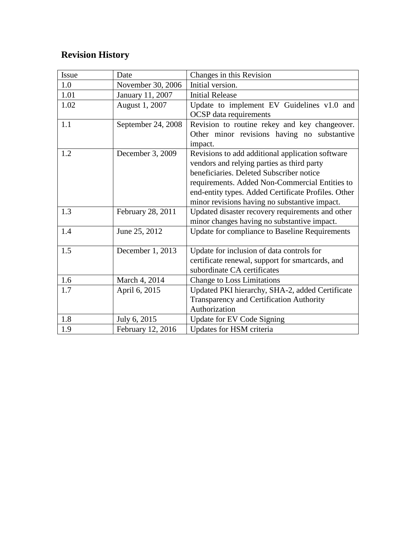# **Revision History**

| Issue | Date               | Changes in this Revision                            |
|-------|--------------------|-----------------------------------------------------|
| 1.0   | November 30, 2006  | Initial version.                                    |
| 1.01  | January 11, 2007   | <b>Initial Release</b>                              |
| 1.02  | August 1, 2007     | Update to implement EV Guidelines v1.0 and          |
|       |                    | <b>OCSP</b> data requirements                       |
| 1.1   | September 24, 2008 | Revision to routine rekey and key changeover.       |
|       |                    | Other minor revisions having no substantive         |
|       |                    | impact.                                             |
| 1.2   | December 3, 2009   | Revisions to add additional application software    |
|       |                    | vendors and relying parties as third party          |
|       |                    | beneficiaries. Deleted Subscriber notice            |
|       |                    | requirements. Added Non-Commercial Entities to      |
|       |                    | end-entity types. Added Certificate Profiles. Other |
|       |                    | minor revisions having no substantive impact.       |
| 1.3   | February 28, 2011  | Updated disaster recovery requirements and other    |
|       |                    | minor changes having no substantive impact.         |
| 1.4   | June 25, 2012      | Update for compliance to Baseline Requirements      |
|       |                    |                                                     |
| 1.5   | December 1, 2013   | Update for inclusion of data controls for           |
|       |                    | certificate renewal, support for smartcards, and    |
|       |                    | subordinate CA certificates                         |
| 1.6   | March 4, 2014      | <b>Change to Loss Limitations</b>                   |
| 1.7   | April 6, 2015      | Updated PKI hierarchy, SHA-2, added Certificate     |
|       |                    | <b>Transparency and Certification Authority</b>     |
|       |                    | Authorization                                       |
| 1.8   | July 6, 2015       | Update for EV Code Signing                          |
| 1.9   | February 12, 2016  | Updates for HSM criteria                            |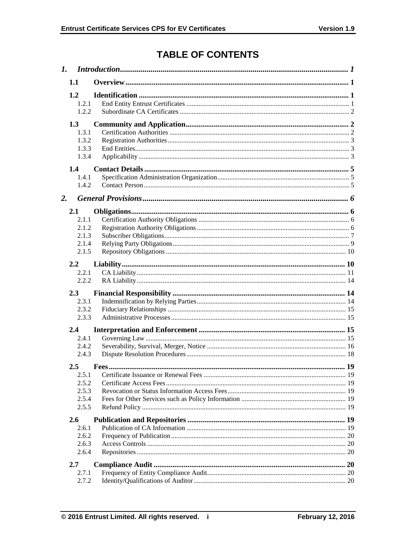# **TABLE OF CONTENTS**

|    | 1.1                                              |  |  |  |
|----|--------------------------------------------------|--|--|--|
|    | 1.2<br>1.2.1<br>1.2.2                            |  |  |  |
|    | 1.3<br>1.3.1<br>1.3.2<br>1.3.3<br>1.3.4          |  |  |  |
|    | 1.4<br>1.4.1<br>1.4.2                            |  |  |  |
| 2. |                                                  |  |  |  |
|    | 2.1<br>2.1.1<br>2.1.2<br>2.1.3<br>2.1.4<br>2.1.5 |  |  |  |
|    | 2.2<br>2.2.1<br>2.2.2                            |  |  |  |
|    | 2.3<br>2.3.1<br>2.3.2<br>2.3.3                   |  |  |  |
|    | 2.4<br>2.4.1<br>2.4.2<br>2.4.3                   |  |  |  |
|    | 2.5<br>2.5.1<br>2.5.2<br>2.5.3<br>2.5.4<br>2.5.5 |  |  |  |
|    | 2.6<br>2.6.1<br>2.6.2<br>2.6.3<br>2.6.4          |  |  |  |
|    | 2.7<br>2.7.1<br>2.7.2                            |  |  |  |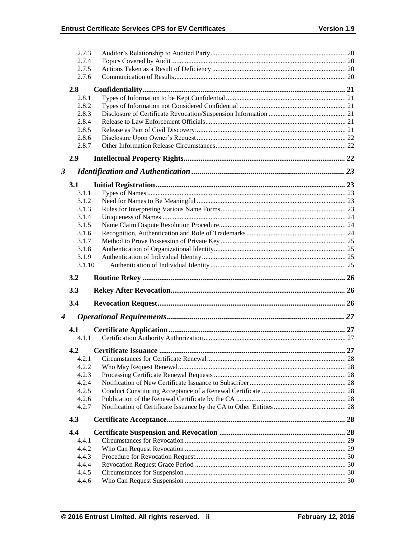|                      | 2.7.3          |                       |    |
|----------------------|----------------|-----------------------|----|
|                      | 2.7.4          |                       |    |
|                      |                |                       |    |
|                      | 2.7.5          |                       |    |
|                      | 2.7.6          |                       |    |
|                      | 2.8            |                       |    |
|                      | 2.8.1          |                       |    |
|                      | 2.8.2          |                       |    |
|                      | 2.8.3          |                       |    |
|                      | 2.8.4          |                       |    |
|                      | 2.8.5          |                       |    |
|                      | 2.8.6          |                       |    |
|                      | 2.8.7          |                       |    |
|                      |                |                       |    |
|                      | 2.9            |                       |    |
| $\boldsymbol{\beta}$ |                |                       |    |
|                      | 3.1            |                       |    |
|                      | 3.1.1          |                       |    |
|                      | 3.1.2          |                       |    |
|                      | 3.1.3          |                       |    |
|                      | 3.1.4          |                       |    |
|                      | 3.1.5          |                       |    |
|                      | 3.1.6          |                       |    |
|                      | 3.1.7          |                       |    |
|                      | 3.1.8          |                       |    |
|                      | 3.1.9          |                       |    |
|                      | 3.1.10         |                       |    |
|                      |                |                       |    |
|                      |                |                       |    |
|                      | 3.2            |                       |    |
|                      | 3.3            |                       |    |
|                      | 3.4            |                       |    |
| $\boldsymbol{4}$     |                |                       |    |
|                      |                |                       |    |
|                      | 4.1            |                       |    |
|                      | 4.1.1          |                       |    |
|                      | 4.2            | Certificate Issuance. | 27 |
|                      | 4.2.1          |                       |    |
|                      | 4.2.2          |                       |    |
|                      | 4.2.3          |                       |    |
|                      | 4.2.4          |                       |    |
|                      | 4.2.5          |                       |    |
|                      | 4.2.6          |                       |    |
|                      | 4.2.7          |                       |    |
|                      | 4.3            |                       |    |
|                      |                |                       |    |
|                      | 4.4<br>4.4.1   |                       |    |
|                      | 4.4.2          |                       |    |
|                      | 4.4.3          |                       |    |
|                      |                |                       |    |
|                      | 4.4.4          |                       |    |
|                      | 4.4.5<br>4.4.6 |                       |    |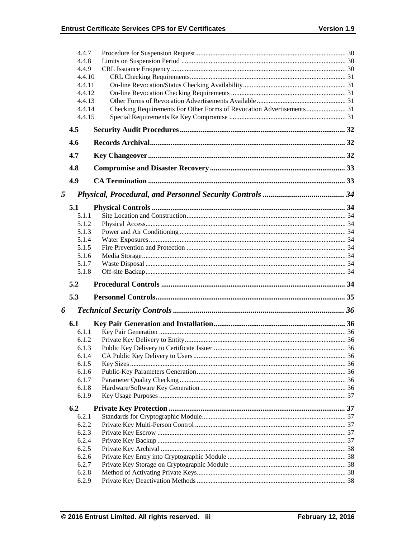|        | 4.4.7            |                                                                       |  |
|--------|------------------|-----------------------------------------------------------------------|--|
|        | 4.4.8            |                                                                       |  |
|        | 4.4.9            |                                                                       |  |
| 4.4.10 |                  |                                                                       |  |
| 4.4.11 |                  |                                                                       |  |
|        | 4.4.12           |                                                                       |  |
|        | 4.4.13<br>4.4.14 |                                                                       |  |
|        | 4.4.15           | Checking Requirements For Other Forms of Revocation Advertisements 31 |  |
|        | 4.5              |                                                                       |  |
|        | 4.6              |                                                                       |  |
|        | 4.7              |                                                                       |  |
|        | 4.8              |                                                                       |  |
|        |                  |                                                                       |  |
|        | 4.9              |                                                                       |  |
| 5      |                  |                                                                       |  |
|        | 5.1              |                                                                       |  |
|        | 5.1.1            |                                                                       |  |
|        | 5.1.2            |                                                                       |  |
|        | 5.1.3            |                                                                       |  |
|        | 5.1.4            |                                                                       |  |
|        | 5.1.5            |                                                                       |  |
|        | 5.1.6<br>5.1.7   |                                                                       |  |
|        | 5.1.8            |                                                                       |  |
|        | 5.2              |                                                                       |  |
|        | 5.3              |                                                                       |  |
|        |                  |                                                                       |  |
| 6      |                  |                                                                       |  |
|        | 6.1              |                                                                       |  |
|        | 6.1.1            |                                                                       |  |
|        | 6.1.2            |                                                                       |  |
|        | 6.1.3<br>6.1.4   |                                                                       |  |
|        | 6.1.5            |                                                                       |  |
|        | 6.1.6            |                                                                       |  |
|        | 6.1.7            |                                                                       |  |
|        | 6.1.8            |                                                                       |  |
|        | 6.1.9            |                                                                       |  |
|        | 6.2              |                                                                       |  |
|        | 6.2.1            |                                                                       |  |
|        | 6.2.2            |                                                                       |  |
|        | 6.2.3            |                                                                       |  |
|        | 6.2.4            |                                                                       |  |
|        | 6.2.5<br>6.2.6   |                                                                       |  |
|        | 6.2.7            |                                                                       |  |
|        | 6.2.8            |                                                                       |  |
|        | 6.2.9            |                                                                       |  |
|        |                  |                                                                       |  |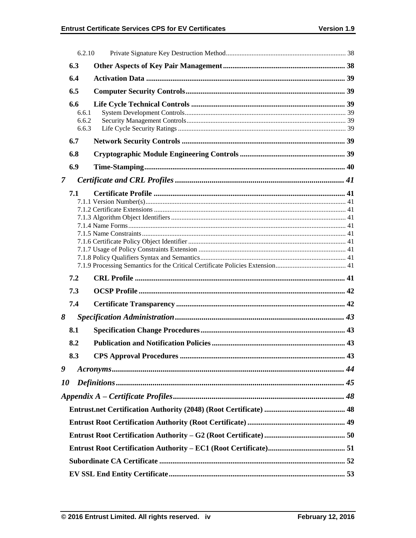|                | 6.2.10                         |  |  |  |  |
|----------------|--------------------------------|--|--|--|--|
|                | 6.3                            |  |  |  |  |
|                | 6.4                            |  |  |  |  |
|                | 6.5                            |  |  |  |  |
|                | 6.6<br>6.6.1<br>6.6.2<br>6.6.3 |  |  |  |  |
|                | 6.7                            |  |  |  |  |
|                | 6.8                            |  |  |  |  |
|                | 6.9                            |  |  |  |  |
| $\overline{7}$ |                                |  |  |  |  |
|                | 7.1                            |  |  |  |  |
|                | 7.2                            |  |  |  |  |
|                | 7.3                            |  |  |  |  |
|                | 7.4                            |  |  |  |  |
| 8              |                                |  |  |  |  |
|                | 8.1                            |  |  |  |  |
|                | 8.2                            |  |  |  |  |
|                | 8.3                            |  |  |  |  |
| 9              |                                |  |  |  |  |
| <i>10</i>      |                                |  |  |  |  |
|                |                                |  |  |  |  |
|                |                                |  |  |  |  |
|                |                                |  |  |  |  |
|                |                                |  |  |  |  |
|                |                                |  |  |  |  |
|                |                                |  |  |  |  |
|                |                                |  |  |  |  |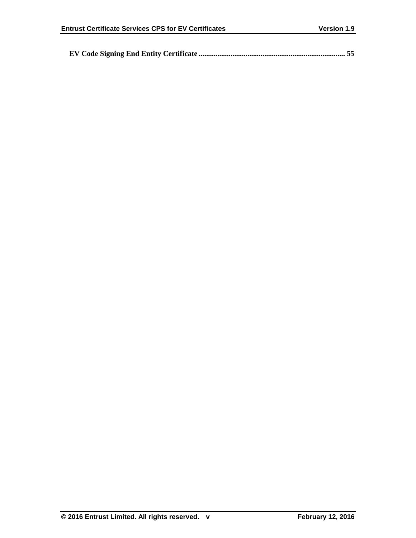|--|--|--|--|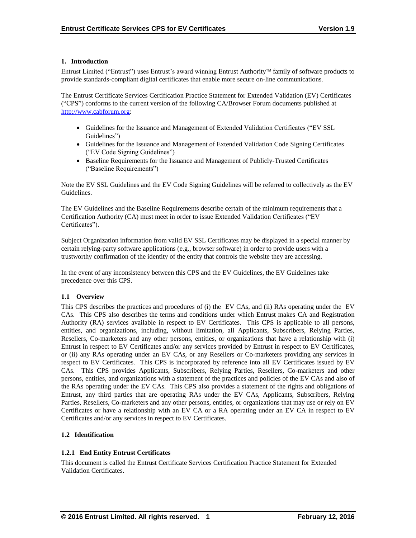## **1. Introduction**

Entrust Limited ("Entrust") uses Entrust's award winning Entrust Authority family of software products to provide standards-compliant digital certificates that enable more secure on-line communications.

The Entrust Certificate Services Certification Practice Statement for Extended Validation (EV) Certificates ("CPS") conforms to the current version of the following CA/Browser Forum documents published at [http://www.cabforum.org:](http://www.cabforum.org/)

- Guidelines for the Issuance and Management of Extended Validation Certificates ("EV SSL Guidelines")
- Guidelines for the Issuance and Management of Extended Validation Code Signing Certificates ("EV Code Signing Guidelines")
- Baseline Requirements for the Issuance and Management of Publicly-Trusted Certificates ("Baseline Requirements")

Note the EV SSL Guidelines and the EV Code Signing Guidelines will be referred to collectively as the EV Guidelines.

The EV Guidelines and the Baseline Requirements describe certain of the minimum requirements that a Certification Authority (CA) must meet in order to issue Extended Validation Certificates ("EV Certificates").

Subject Organization information from valid EV SSL Certificates may be displayed in a special manner by certain relying-party software applications (e.g., browser software) in order to provide users with a trustworthy confirmation of the identity of the entity that controls the website they are accessing.

In the event of any inconsistency between this CPS and the EV Guidelines, the EV Guidelines take precedence over this CPS.

# **1.1 Overview**

This CPS describes the practices and procedures of (i) the EV CAs, and (ii) RAs operating under the EV CAs. This CPS also describes the terms and conditions under which Entrust makes CA and Registration Authority (RA) services available in respect to EV Certificates. This CPS is applicable to all persons, entities, and organizations, including, without limitation, all Applicants, Subscribers, Relying Parties, Resellers, Co-marketers and any other persons, entities, or organizations that have a relationship with (i) Entrust in respect to EV Certificates and/or any services provided by Entrust in respect to EV Certificates, or (ii) any RAs operating under an EV CAs, or any Resellers or Co-marketers providing any services in respect to EV Certificates. This CPS is incorporated by reference into all EV Certificates issued by EV CAs. This CPS provides Applicants, Subscribers, Relying Parties, Resellers, Co-marketers and other persons, entities, and organizations with a statement of the practices and policies of the EV CAs and also of the RAs operating under the EV CAs. This CPS also provides a statement of the rights and obligations of Entrust, any third parties that are operating RAs under the EV CAs, Applicants, Subscribers, Relying Parties, Resellers, Co-marketers and any other persons, entities, or organizations that may use or rely on EV Certificates or have a relationship with an EV CA or a RA operating under an EV CA in respect to EV Certificates and/or any services in respect to EV Certificates.

# **1.2 Identification**

# **1.2.1 End Entity Entrust Certificates**

This document is called the Entrust Certificate Services Certification Practice Statement for Extended Validation Certificates.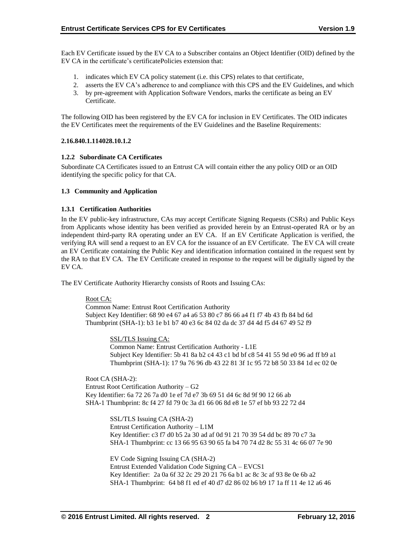Each EV Certificate issued by the EV CA to a Subscriber contains an Object Identifier (OID) defined by the EV CA in the certificate's certificatePolicies extension that:

- 1. indicates which EV CA policy statement (i.e. this CPS) relates to that certificate,
- 2. asserts the EV CA's adherence to and compliance with this CPS and the EV Guidelines, and which
- 3. by pre-agreement with Application Software Vendors, marks the certificate as being an EV Certificate.

The following OID has been registered by the EV CA for inclusion in EV Certificates. The OID indicates the EV Certificates meet the requirements of the EV Guidelines and the Baseline Requirements:

## **2.16.840.1.114028.10.1.2**

## **1.2.2 Subordinate CA Certificates**

Subordinate CA Certificates issued to an Entrust CA will contain either the any policy OID or an OID identifying the specific policy for that CA.

## **1.3 Community and Application**

## **1.3.1 Certification Authorities**

In the EV public-key infrastructure, CAs may accept Certificate Signing Requests (CSRs) and Public Keys from Applicants whose identity has been verified as provided herein by an Entrust-operated RA or by an independent third-party RA operating under an EV CA. If an EV Certificate Application is verified, the verifying RA will send a request to an EV CA for the issuance of an EV Certificate. The EV CA will create an EV Certificate containing the Public Key and identification information contained in the request sent by the RA to that EV CA. The EV Certificate created in response to the request will be digitally signed by the EV CA.

The EV Certificate Authority Hierarchy consists of Roots and Issuing CAs:

#### Root CA:

Common Name: Entrust Root Certification Authority Subject Key Identifier: 68 90 e4 67 a4 a6 53 80 c7 86 66 a4 f1 f7 4b 43 fb 84 bd 6d Thumbprint (SHA-1): b3 1e b1 b7 40 e3 6c 84 02 da dc 37 d4 4d f5 d4 67 49 52 f9

> SSL/TLS Issuing CA: Common Name: Entrust Certification Authority - L1E Subject Key Identifier: 5b 41 8a b2 c4 43 c1 bd bf c8 54 41 55 9d e0 96 ad ff b9 a1 Thumbprint (SHA-1): 17 9a 76 96 db 43 22 81 3f 1c 95 72 b8 50 33 84 1d ec 02 0e

Root CA (SHA-2): Entrust Root Certification Authority – G2 Key Identifier: 6a 72 26 7a d0 1e ef 7d e7 3b 69 51 d4 6c 8d 9f 90 12 66 ab SHA-1 Thumbprint: 8c f4 27 fd 79 0c 3a d1 66 06 8d e8 1e 57 ef bb 93 22 72 d4

> SSL/TLS Issuing CA (SHA-2) Entrust Certification Authority – L1M Key Identifier: c3 f7 d0 b5 2a 30 ad af 0d 91 21 70 39 54 dd bc 89 70 c7 3a SHA-1 Thumbprint: cc 13 66 95 63 90 65 fa b4 70 74 d2 8c 55 31 4c 66 07 7e 90

> EV Code Signing Issuing CA (SHA-2) Entrust Extended Validation Code Signing CA – EVCS1 Key Identifier: 2a 0a 6f 32 2c 29 20 21 76 6a b1 ac 8c 3c af 93 8e 0e 6b a2 SHA-1 Thumbprint: 64 b8 f1 ed ef 40 d7 d2 86 02 b6 b9 17 1a ff 11 4e 12 a6 46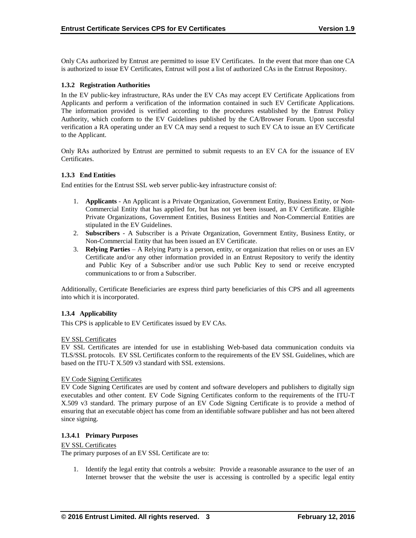Only CAs authorized by Entrust are permitted to issue EV Certificates. In the event that more than one CA is authorized to issue EV Certificates, Entrust will post a list of authorized CAs in the Entrust Repository.

## **1.3.2 Registration Authorities**

In the EV public-key infrastructure, RAs under the EV CAs may accept EV Certificate Applications from Applicants and perform a verification of the information contained in such EV Certificate Applications. The information provided is verified according to the procedures established by the Entrust Policy Authority, which conform to the EV Guidelines published by the CA/Browser Forum. Upon successful verification a RA operating under an EV CA may send a request to such EV CA to issue an EV Certificate to the Applicant.

Only RAs authorized by Entrust are permitted to submit requests to an EV CA for the issuance of EV Certificates.

## **1.3.3 End Entities**

End entities for the Entrust SSL web server public-key infrastructure consist of:

- 1. **Applicants** An Applicant is a Private Organization, Government Entity, Business Entity, or Non-Commercial Entity that has applied for, but has not yet been issued, an EV Certificate. Eligible Private Organizations, Government Entities, Business Entities and Non-Commercial Entities are stipulated in the EV Guidelines.
- 2. **Subscribers**  A Subscriber is a Private Organization, Government Entity, Business Entity, or Non-Commercial Entity that has been issued an EV Certificate.
- 3. **Relying Parties**  A Relying Party is a person, entity, or organization that relies on or uses an EV Certificate and/or any other information provided in an Entrust Repository to verify the identity and Public Key of a Subscriber and/or use such Public Key to send or receive encrypted communications to or from a Subscriber.

Additionally, Certificate Beneficiaries are express third party beneficiaries of this CPS and all agreements into which it is incorporated.

#### **1.3.4 Applicability**

This CPS is applicable to EV Certificates issued by EV CAs.

#### EV SSL Certificates

EV SSL Certificates are intended for use in establishing Web-based data communication conduits via TLS/SSL protocols. EV SSL Certificates conform to the requirements of the EV SSL Guidelines, which are based on the ITU-T X.509 v3 standard with SSL extensions.

#### EV Code Signing Certificates

EV Code Signing Certificates are used by content and software developers and publishers to digitally sign executables and other content. EV Code Signing Certificates conform to the requirements of the ITU-T X.509 v3 standard. The primary purpose of an EV Code Signing Certificate is to provide a method of ensuring that an executable object has come from an identifiable software publisher and has not been altered since signing.

#### **1.3.4.1 Primary Purposes**

#### EV SSL Certificates

The primary purposes of an EV SSL Certificate are to:

1. Identify the legal entity that controls a website: Provide a reasonable assurance to the user of an Internet browser that the website the user is accessing is controlled by a specific legal entity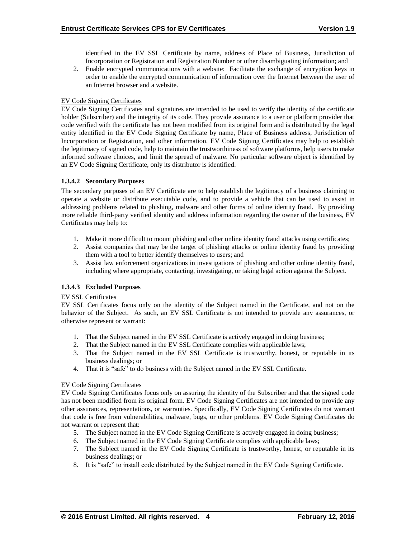identified in the EV SSL Certificate by name, address of Place of Business, Jurisdiction of Incorporation or Registration and Registration Number or other disambiguating information; and

2. Enable encrypted communications with a website: Facilitate the exchange of encryption keys in order to enable the encrypted communication of information over the Internet between the user of an Internet browser and a website.

## EV Code Signing Certificates

EV Code Signing Certificates and signatures are intended to be used to verify the identity of the certificate holder (Subscriber) and the integrity of its code. They provide assurance to a user or platform provider that code verified with the certificate has not been modified from its original form and is distributed by the legal entity identified in the EV Code Signing Certificate by name, Place of Business address, Jurisdiction of Incorporation or Registration, and other information. EV Code Signing Certificates may help to establish the legitimacy of signed code, help to maintain the trustworthiness of software platforms, help users to make informed software choices, and limit the spread of malware. No particular software object is identified by an EV Code Signing Certificate, only its distributor is identified.

## **1.3.4.2 Secondary Purposes**

The secondary purposes of an EV Certificate are to help establish the legitimacy of a business claiming to operate a website or distribute executable code, and to provide a vehicle that can be used to assist in addressing problems related to phishing, malware and other forms of online identity fraud. By providing more reliable third-party verified identity and address information regarding the owner of the business, EV Certificates may help to:

- 1. Make it more difficult to mount phishing and other online identity fraud attacks using certificates;
- 2. Assist companies that may be the target of phishing attacks or online identity fraud by providing them with a tool to better identify themselves to users; and
- 3. Assist law enforcement organizations in investigations of phishing and other online identity fraud, including where appropriate, contacting, investigating, or taking legal action against the Subject.

# **1.3.4.3 Excluded Purposes**

#### EV SSL Certificates

EV SSL Certificates focus only on the identity of the Subject named in the Certificate, and not on the behavior of the Subject. As such, an EV SSL Certificate is not intended to provide any assurances, or otherwise represent or warrant:

- 1. That the Subject named in the EV SSL Certificate is actively engaged in doing business;
- 2. That the Subject named in the EV SSL Certificate complies with applicable laws;
- 3. That the Subject named in the EV SSL Certificate is trustworthy, honest, or reputable in its business dealings; or
- 4. That it is "safe" to do business with the Subject named in the EV SSL Certificate.

#### EV Code Signing Certificates

EV Code Signing Certificates focus only on assuring the identity of the Subscriber and that the signed code has not been modified from its original form. EV Code Signing Certificates are not intended to provide any other assurances, representations, or warranties. Specifically, EV Code Signing Certificates do not warrant that code is free from vulnerabilities, malware, bugs, or other problems. EV Code Signing Certificates do not warrant or represent that:

- 5. The Subject named in the EV Code Signing Certificate is actively engaged in doing business;
- 6. The Subject named in the EV Code Signing Certificate complies with applicable laws;
- 7. The Subject named in the EV Code Signing Certificate is trustworthy, honest, or reputable in its business dealings; or
- 8. It is "safe" to install code distributed by the Subject named in the EV Code Signing Certificate.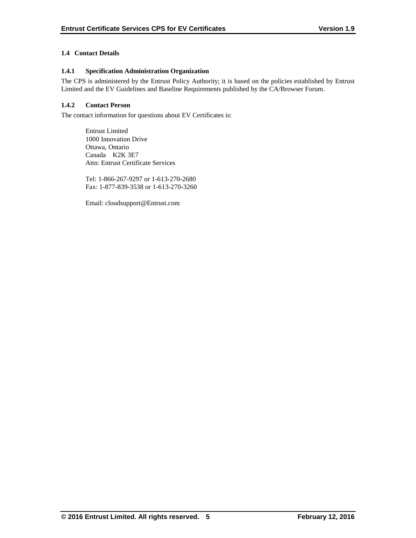# **1.4 Contact Details**

## **1.4.1 Specification Administration Organization**

The CPS is administered by the Entrust Policy Authority; it is based on the policies established by Entrust Limited and the EV Guidelines and Baseline Requirements published by the CA/Browser Forum.

# **1.4.2 Contact Person**

The contact information for questions about EV Certificates is:

Entrust Limited 1000 Innovation Drive Ottawa, Ontario Canada K2K 3E7 Attn: Entrust Certificate Services

Tel: 1-866-267-9297 or 1-613-270-2680 Fax: 1-877-839-3538 or 1-613-270-3260

Email: cloudsupport@Entrust.com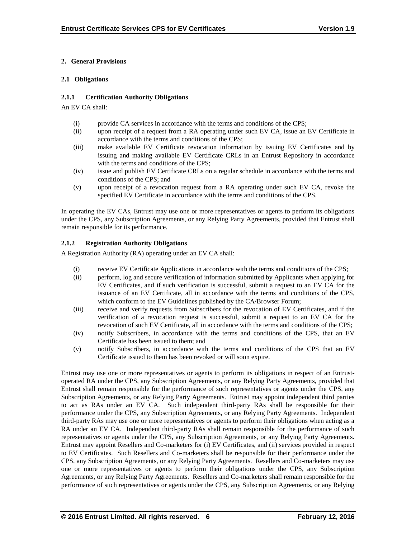# **2. General Provisions**

# **2.1 Obligations**

# **2.1.1 Certification Authority Obligations**

An EV CA shall:

- (i) provide CA services in accordance with the terms and conditions of the CPS;
- (ii) upon receipt of a request from a RA operating under such EV CA, issue an EV Certificate in accordance with the terms and conditions of the CPS;
- (iii) make available EV Certificate revocation information by issuing EV Certificates and by issuing and making available EV Certificate CRLs in an Entrust Repository in accordance with the terms and conditions of the CPS;
- (iv) issue and publish EV Certificate CRLs on a regular schedule in accordance with the terms and conditions of the CPS; and
- (v) upon receipt of a revocation request from a RA operating under such EV CA, revoke the specified EV Certificate in accordance with the terms and conditions of the CPS.

In operating the EV CAs, Entrust may use one or more representatives or agents to perform its obligations under the CPS, any Subscription Agreements, or any Relying Party Agreements, provided that Entrust shall remain responsible for its performance.

# **2.1.2 Registration Authority Obligations**

A Registration Authority (RA) operating under an EV CA shall:

- (i) receive EV Certificate Applications in accordance with the terms and conditions of the CPS;
- (ii) perform, log and secure verification of information submitted by Applicants when applying for EV Certificates, and if such verification is successful, submit a request to an EV CA for the issuance of an EV Certificate, all in accordance with the terms and conditions of the CPS, which conform to the EV Guidelines published by the CA/Browser Forum;
- (iii) receive and verify requests from Subscribers for the revocation of EV Certificates, and if the verification of a revocation request is successful, submit a request to an EV CA for the revocation of such EV Certificate, all in accordance with the terms and conditions of the CPS;
- (iv) notify Subscribers, in accordance with the terms and conditions of the CPS, that an EV Certificate has been issued to them; and
- (v) notify Subscribers, in accordance with the terms and conditions of the CPS that an EV Certificate issued to them has been revoked or will soon expire.

Entrust may use one or more representatives or agents to perform its obligations in respect of an Entrustoperated RA under the CPS, any Subscription Agreements, or any Relying Party Agreements, provided that Entrust shall remain responsible for the performance of such representatives or agents under the CPS, any Subscription Agreements, or any Relying Party Agreements. Entrust may appoint independent third parties to act as RAs under an EV CA. Such independent third-party RAs shall be responsible for their performance under the CPS, any Subscription Agreements, or any Relying Party Agreements. Independent third-party RAs may use one or more representatives or agents to perform their obligations when acting as a RA under an EV CA. Independent third-party RAs shall remain responsible for the performance of such representatives or agents under the CPS, any Subscription Agreements, or any Relying Party Agreements. Entrust may appoint Resellers and Co-marketers for (i) EV Certificates, and (ii) services provided in respect to EV Certificates. Such Resellers and Co-marketers shall be responsible for their performance under the CPS, any Subscription Agreements, or any Relying Party Agreements. Resellers and Co-marketers may use one or more representatives or agents to perform their obligations under the CPS, any Subscription Agreements, or any Relying Party Agreements. Resellers and Co-marketers shall remain responsible for the performance of such representatives or agents under the CPS, any Subscription Agreements, or any Relying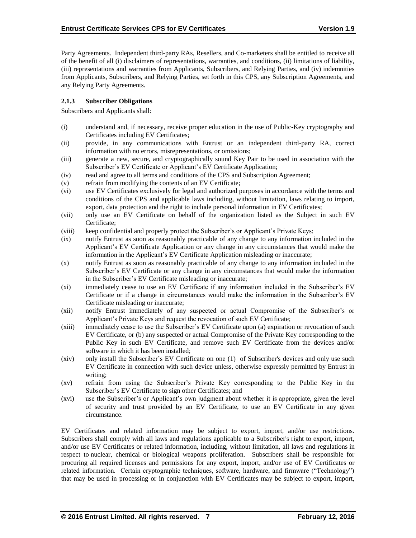Party Agreements. Independent third-party RAs, Resellers, and Co-marketers shall be entitled to receive all of the benefit of all (i) disclaimers of representations, warranties, and conditions, (ii) limitations of liability, (iii) representations and warranties from Applicants, Subscribers, and Relying Parties, and (iv) indemnities from Applicants, Subscribers, and Relying Parties, set forth in this CPS, any Subscription Agreements, and any Relying Party Agreements.

# **2.1.3 Subscriber Obligations**

Subscribers and Applicants shall:

- (i) understand and, if necessary, receive proper education in the use of Public-Key cryptography and Certificates including EV Certificates;
- (ii) provide, in any communications with Entrust or an independent third-party RA, correct information with no errors, misrepresentations, or omissions;
- (iii) generate a new, secure, and cryptographically sound Key Pair to be used in association with the Subscriber's EV Certificate or Applicant's EV Certificate Application;
- (iv) read and agree to all terms and conditions of the CPS and Subscription Agreement;
- (v) refrain from modifying the contents of an EV Certificate;
- (vi) use EV Certificates exclusively for legal and authorized purposes in accordance with the terms and conditions of the CPS and applicable laws including, without limitation, laws relating to import, export, data protection and the right to include personal information in EV Certificates;
- (vii) only use an EV Certificate on behalf of the organization listed as the Subject in such EV Certificate;
- (viii) keep confidential and properly protect the Subscriber's or Applicant's Private Keys;
- (ix) notify Entrust as soon as reasonably practicable of any change to any information included in the Applicant's EV Certificate Application or any change in any circumstances that would make the information in the Applicant's EV Certificate Application misleading or inaccurate;
- (x) notify Entrust as soon as reasonably practicable of any change to any information included in the Subscriber's EV Certificate or any change in any circumstances that would make the information in the Subscriber's EV Certificate misleading or inaccurate;
- (xi) immediately cease to use an EV Certificate if any information included in the Subscriber's EV Certificate or if a change in circumstances would make the information in the Subscriber's EV Certificate misleading or inaccurate;
- (xii) notify Entrust immediately of any suspected or actual Compromise of the Subscriber's or Applicant's Private Keys and request the revocation of such EV Certificate;
- (xiii) immediately cease to use the Subscriber's EV Certificate upon (a) expiration or revocation of such EV Certificate, or (b) any suspected or actual Compromise of the Private Key corresponding to the Public Key in such EV Certificate, and remove such EV Certificate from the devices and/or software in which it has been installed;
- (xiv) only install the Subscriber's EV Certificate on one (1) of Subscriber's devices and only use such EV Certificate in connection with such device unless, otherwise expressly permitted by Entrust in writing;
- (xv) refrain from using the Subscriber's Private Key corresponding to the Public Key in the Subscriber's EV Certificate to sign other Certificates; and
- (xvi) use the Subscriber's or Applicant's own judgment about whether it is appropriate, given the level of security and trust provided by an EV Certificate, to use an EV Certificate in any given circumstance.

EV Certificates and related information may be subject to export, import, and/or use restrictions. Subscribers shall comply with all laws and regulations applicable to a Subscriber's right to export, import, and/or use EV Certificates or related information, including, without limitation, all laws and regulations in respect to nuclear, chemical or biological weapons proliferation. Subscribers shall be responsible for procuring all required licenses and permissions for any export, import, and/or use of EV Certificates or related information. Certain cryptographic techniques, software, hardware, and firmware ("Technology") that may be used in processing or in conjunction with EV Certificates may be subject to export, import,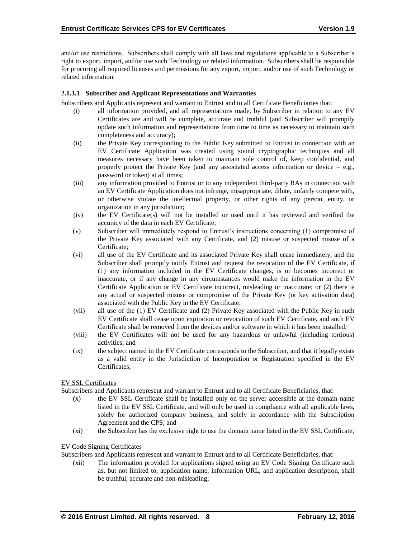and/or use restrictions. Subscribers shall comply with all laws and regulations applicable to a Subscriber's right to export, import, and/or use such Technology or related information. Subscribers shall be responsible for procuring all required licenses and permissions for any export, import, and/or use of such Technology or related information.

## **2.1.3.1 Subscriber and Applicant Representations and Warranties**

Subscribers and Applicants represent and warrant to Entrust and to all Certificate Beneficiaries that:

- (i) all information provided, and all representations made, by Subscriber in relation to any EV Certificates are and will be complete, accurate and truthful (and Subscriber will promptly update such information and representations from time to time as necessary to maintain such completeness and accuracy);
- (ii) the Private Key corresponding to the Public Key submitted to Entrust in connection with an EV Certificate Application was created using sound cryptographic techniques and all measures necessary have been taken to maintain sole control of, keep confidential, and properly protect the Private Key (and any associated access information or device  $-$  e.g., password or token) at all times;
- (iii) any information provided to Entrust or to any independent third-party RAs in connection with an EV Certificate Application does not infringe, misappropriate, dilute, unfairly compete with, or otherwise violate the intellectual property, or other rights of any person, entity, or organization in any jurisdiction;
- (iv) the EV Certificate(s) will not be installed or used until it has reviewed and verified the accuracy of the data in each EV Certificate;
- (v) Subscriber will immediately respond to Entrust's instructions concerning (1) compromise of the Private Key associated with any Certificate, and (2) misuse or suspected misuse of a Certificate;
- (vi) all use of the EV Certificate and its associated Private Key shall cease immediately, and the Subscriber shall promptly notify Entrust and request the revocation of the EV Certificate, if (1) any information included in the EV Certificate changes, is or becomes incorrect or inaccurate, or if any change in any circumstances would make the information in the EV Certificate Application or EV Certificate incorrect, misleading or inaccurate; or (2) there is any actual or suspected misuse or compromise of the Private Key (or key activation data) associated with the Public Key in the EV Certificate;
- (vii) all use of the (1) EV Certificate and (2) Private Key associated with the Public Key in such EV Certificate shall cease upon expiration or revocation of such EV Certificate, and such EV Certificate shall be removed from the devices and/or software in which it has been installed;
- (viii) the EV Certificates will not be used for any hazardous or unlawful (including tortious) activities; and
- (ix) the subject named in the EV Certificate corresponds to the Subscriber, and that it legally exists as a valid entity in the Jurisdiction of Incorporation or Registration specified in the EV Certificates;

#### EV SSL Certificates

Subscribers and Applicants represent and warrant to Entrust and to all Certificate Beneficiaries, that:

- (x) the EV SSL Certificate shall be installed only on the server accessible at the domain name listed in the EV SSL Certificate, and will only be used in compliance with all applicable laws, solely for authorized company business, and solely in accordance with the Subscription Agreement and the CPS; and
- (xi) the Subscriber has the exclusive right to use the domain name listed in the EV SSL Certificate;

#### EV Code Signing Certificates

Subscribers and Applicants represent and warrant to Entrust and to all Certificate Beneficiaries, that:

(xii) The information provided for applications signed using an EV Code Signing Certificate such as, but not limited to, application name, information URL, and application description, shall be truthful, accurate and non-misleading;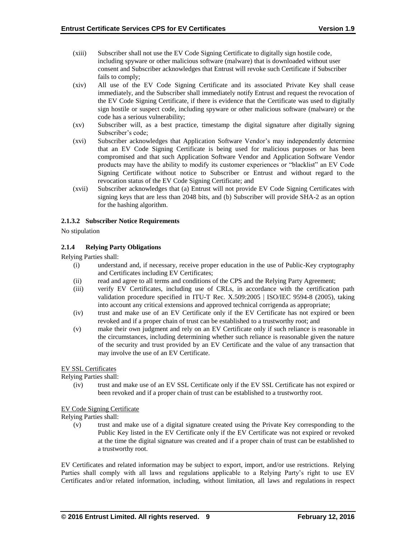- (xiii) Subscriber shall not use the EV Code Signing Certificate to digitally sign hostile code, including spyware or other malicious software (malware) that is downloaded without user consent and Subscriber acknowledges that Entrust will revoke such Certificate if Subscriber fails to comply;
- (xiv) All use of the EV Code Signing Certificate and its associated Private Key shall cease immediately, and the Subscriber shall immediately notify Entrust and request the revocation of the EV Code Signing Certificate, if there is evidence that the Certificate was used to digitally sign hostile or suspect code, including spyware or other malicious software (malware) or the code has a serious vulnerability;
- (xv) Subscriber will, as a best practice, timestamp the digital signature after digitally signing Subscriber's code;
- (xvi) Subscriber acknowledges that Application Software Vendor's may independently determine that an EV Code Signing Certificate is being used for malicious purposes or has been compromised and that such Application Software Vendor and Application Software Vendor products may have the ability to modify its customer experiences or "blacklist" an EV Code Signing Certificate without notice to Subscriber or Entrust and without regard to the revocation status of the EV Code Signing Certificate; and
- (xvii) Subscriber acknowledges that (a) Entrust will not provide EV Code Signing Certificates with signing keys that are less than 2048 bits, and (b) Subscriber will provide SHA-2 as an option for the hashing algorithm.

## **2.1.3.2 Subscriber Notice Requirements**

No stipulation

## **2.1.4 Relying Party Obligations**

Relying Parties shall:

- (i) understand and, if necessary, receive proper education in the use of Public-Key cryptography and Certificates including EV Certificates;
- (ii) read and agree to all terms and conditions of the CPS and the Relying Party Agreement;
- (iii) verify EV Certificates, including use of CRLs, in accordance with the certification path validation procedure specified in ITU-T Rec. X.509:2005 | ISO/IEC 9594-8 (2005), taking into account any critical extensions and approved technical corrigenda as appropriate;
- (iv) trust and make use of an EV Certificate only if the EV Certificate has not expired or been revoked and if a proper chain of trust can be established to a trustworthy root; and
- (v) make their own judgment and rely on an EV Certificate only if such reliance is reasonable in the circumstances, including determining whether such reliance is reasonable given the nature of the security and trust provided by an EV Certificate and the value of any transaction that may involve the use of an EV Certificate.

#### EV SSL Certificates

Relying Parties shall:

(iv) trust and make use of an EV SSL Certificate only if the EV SSL Certificate has not expired or been revoked and if a proper chain of trust can be established to a trustworthy root.

#### EV Code Signing Certificate

Relying Parties shall:

(v) trust and make use of a digital signature created using the Private Key corresponding to the Public Key listed in the EV Certificate only if the EV Certificate was not expired or revoked at the time the digital signature was created and if a proper chain of trust can be established to a trustworthy root.

EV Certificates and related information may be subject to export, import, and/or use restrictions. Relying Parties shall comply with all laws and regulations applicable to a Relying Party's right to use EV Certificates and/or related information, including, without limitation, all laws and regulations in respect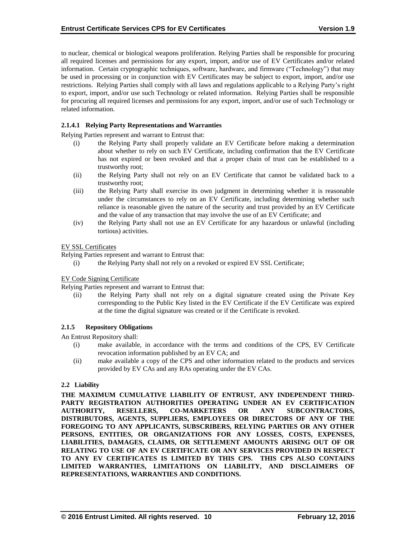to nuclear, chemical or biological weapons proliferation. Relying Parties shall be responsible for procuring all required licenses and permissions for any export, import, and/or use of EV Certificates and/or related information. Certain cryptographic techniques, software, hardware, and firmware ("Technology") that may be used in processing or in conjunction with EV Certificates may be subject to export, import, and/or use restrictions. Relying Parties shall comply with all laws and regulations applicable to a Relying Party's right to export, import, and/or use such Technology or related information. Relying Parties shall be responsible for procuring all required licenses and permissions for any export, import, and/or use of such Technology or related information.

# **2.1.4.1 Relying Party Representations and Warranties**

Relying Parties represent and warrant to Entrust that:

- (i) the Relying Party shall properly validate an EV Certificate before making a determination about whether to rely on such EV Certificate, including confirmation that the EV Certificate has not expired or been revoked and that a proper chain of trust can be established to a trustworthy root;
- (ii) the Relying Party shall not rely on an EV Certificate that cannot be validated back to a trustworthy root;
- (iii) the Relying Party shall exercise its own judgment in determining whether it is reasonable under the circumstances to rely on an EV Certificate, including determining whether such reliance is reasonable given the nature of the security and trust provided by an EV Certificate and the value of any transaction that may involve the use of an EV Certificate; and
- (iv) the Relying Party shall not use an EV Certificate for any hazardous or unlawful (including tortious) activities.

## EV SSL Certificates

Relying Parties represent and warrant to Entrust that:

(i) the Relying Party shall not rely on a revoked or expired EV SSL Certificate;

#### EV Code Signing Certificate

Relying Parties represent and warrant to Entrust that:

(ii) the Relying Party shall not rely on a digital signature created using the Private Key corresponding to the Public Key listed in the EV Certificate if the EV Certificate was expired at the time the digital signature was created or if the Certificate is revoked.

# **2.1.5 Repository Obligations**

An Entrust Repository shall:

- (i) make available, in accordance with the terms and conditions of the CPS, EV Certificate revocation information published by an EV CA; and
- (ii) make available a copy of the CPS and other information related to the products and services provided by EV CAs and any RAs operating under the EV CAs.

# **2.2 Liability**

**THE MAXIMUM CUMULATIVE LIABILITY OF ENTRUST, ANY INDEPENDENT THIRD-PARTY REGISTRATION AUTHORITIES OPERATING UNDER AN EV CERTIFICATION AUTHORITY, RESELLERS, CO-MARKETERS OR ANY SUBCONTRACTORS, DISTRIBUTORS, AGENTS, SUPPLIERS, EMPLOYEES OR DIRECTORS OF ANY OF THE FOREGOING TO ANY APPLICANTS, SUBSCRIBERS, RELYING PARTIES OR ANY OTHER PERSONS, ENTITIES, OR ORGANIZATIONS FOR ANY LOSSES, COSTS, EXPENSES, LIABILITIES, DAMAGES, CLAIMS, OR SETTLEMENT AMOUNTS ARISING OUT OF OR RELATING TO USE OF AN EV CERTIFICATE OR ANY SERVICES PROVIDED IN RESPECT TO ANY EV CERTIFICATES IS LIMITED BY THIS CPS. THIS CPS ALSO CONTAINS LIMITED WARRANTIES, LIMITATIONS ON LIABILITY, AND DISCLAIMERS OF REPRESENTATIONS, WARRANTIES AND CONDITIONS.**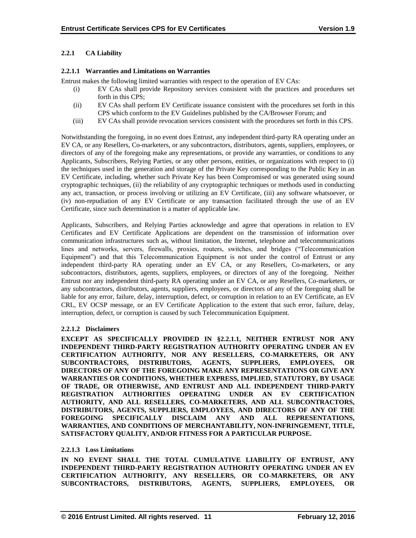# **2.2.1 CA Liability**

## **2.2.1.1 Warranties and Limitations on Warranties**

Entrust makes the following limited warranties with respect to the operation of EV CAs:

- (i) EV CAs shall provide Repository services consistent with the practices and procedures set forth in this CPS;
- (ii) EV CAs shall perform EV Certificate issuance consistent with the procedures set forth in this CPS which conform to the EV Guidelines published by the CA/Browser Forum; and
- (iii) EV CAs shall provide revocation services consistent with the procedures set forth in this CPS.

Notwithstanding the foregoing, in no event does Entrust, any independent third-party RA operating under an EV CA, or any Resellers, Co-marketers, or any subcontractors, distributors, agents, suppliers, employees, or directors of any of the foregoing make any representations, or provide any warranties, or conditions to any Applicants, Subscribers, Relying Parties, or any other persons, entities, or organizations with respect to (i) the techniques used in the generation and storage of the Private Key corresponding to the Public Key in an EV Certificate, including, whether such Private Key has been Compromised or was generated using sound cryptographic techniques, (ii) the reliability of any cryptographic techniques or methods used in conducting any act, transaction, or process involving or utilizing an EV Certificate, (iii) any software whatsoever, or (iv) non-repudiation of any EV Certificate or any transaction facilitated through the use of an EV Certificate, since such determination is a matter of applicable law.

Applicants, Subscribers, and Relying Parties acknowledge and agree that operations in relation to EV Certificates and EV Certificate Applications are dependent on the transmission of information over communication infrastructures such as, without limitation, the Internet, telephone and telecommunications lines and networks, servers, firewalls, proxies, routers, switches, and bridges ("Telecommunication Equipment") and that this Telecommunication Equipment is not under the control of Entrust or any independent third-party RA operating under an EV CA, or any Resellers, Co-marketers, or any subcontractors, distributors, agents, suppliers, employees, or directors of any of the foregoing. Neither Entrust nor any independent third-party RA operating under an EV CA, or any Resellers, Co-marketers, or any subcontractors, distributors, agents, suppliers, employees, or directors of any of the foregoing shall be liable for any error, failure, delay, interruption, defect, or corruption in relation to an EV Certificate, an EV CRL, EV OCSP message, or an EV Certificate Application to the extent that such error, failure, delay, interruption, defect, or corruption is caused by such Telecommunication Equipment.

# **2.2.1.2 Disclaimers**

**EXCEPT AS SPECIFICALLY PROVIDED IN §2.2.1.1, NEITHER ENTRUST NOR ANY INDEPENDENT THIRD-PARTY REGISTRATION AUTHORITY OPERATING UNDER AN EV CERTIFICATION AUTHORITY, NOR ANY RESELLERS, CO-MARKETERS, OR ANY SUBCONTRACTORS, DISTRIBUTORS, AGENTS, SUPPLIERS, EMPLOYEES, OR DIRECTORS OF ANY OF THE FOREGOING MAKE ANY REPRESENTATIONS OR GIVE ANY WARRANTIES OR CONDITIONS, WHETHER EXPRESS, IMPLIED, STATUTORY, BY USAGE OF TRADE, OR OTHERWISE, AND ENTRUST AND ALL INDEPENDENT THIRD-PARTY REGISTRATION AUTHORITIES OPERATING UNDER AN EV CERTIFICATION AUTHORITY, AND ALL RESELLERS, CO-MARKETERS, AND ALL SUBCONTRACTORS, DISTRIBUTORS, AGENTS, SUPPLIERS, EMPLOYEES, AND DIRECTORS OF ANY OF THE FOREGOING SPECIFICALLY DISCLAIM ANY AND ALL REPRESENTATIONS, WARRANTIES, AND CONDITIONS OF MERCHANTABILITY, NON-INFRINGEMENT, TITLE, SATISFACTORY QUALITY, AND/OR FITNESS FOR A PARTICULAR PURPOSE.**

# **2.2.1.3 Loss Limitations**

**IN NO EVENT SHALL THE TOTAL CUMULATIVE LIABILITY OF ENTRUST, ANY INDEPENDENT THIRD-PARTY REGISTRATION AUTHORITY OPERATING UNDER AN EV CERTIFICATION AUTHORITY, ANY RESELLERS, OR CO-MARKETERS, OR ANY SUBCONTRACTORS, DISTRIBUTORS, AGENTS, SUPPLIERS, EMPLOYEES, OR**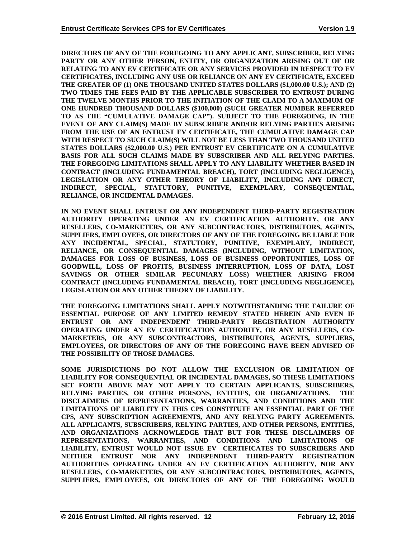**DIRECTORS OF ANY OF THE FOREGOING TO ANY APPLICANT, SUBSCRIBER, RELYING PARTY OR ANY OTHER PERSON, ENTITY, OR ORGANIZATION ARISING OUT OF OR RELATING TO ANY EV CERTIFICATE OR ANY SERVICES PROVIDED IN RESPECT TO EV CERTIFICATES, INCLUDING ANY USE OR RELIANCE ON ANY EV CERTIFICATE, EXCEED THE GREATER OF (1) ONE THOUSAND UNITED STATES DOLLARS (\$1,000.00 U.S.); AND (2) TWO TIMES THE FEES PAID BY THE APPLICABLE SUBSCRIBER TO ENTRUST DURING THE TWELVE MONTHS PRIOR TO THE INITIATION OF THE CLAIM TO A MAXIMUM OF ONE HUNDRED THOUSAND DOLLARS (\$100,000) (SUCH GREATER NUMBER REFERRED TO AS THE "CUMULATIVE DAMAGE CAP"). SUBJECT TO THE FOREGOING, IN THE EVENT OF ANY CLAIM(S) MADE BY SUBSCRIBER AND/OR RELYING PARTIES ARISING FROM THE USE OF AN ENTRUST EV CERTIFICATE, THE CUMULATIVE DAMAGE CAP WITH RESPECT TO SUCH CLAIM(S) WILL NOT BE LESS THAN TWO THOUSAND UNITED STATES DOLLARS (\$2,000.00 U.S.) PER ENTRUST EV CERTIFICATE ON A CUMULATIVE BASIS FOR ALL SUCH CLAIMS MADE BY SUBSCRIBER AND ALL RELYING PARTIES. THE FOREGOING LIMITATIONS SHALL APPLY TO ANY LIABILITY WHETHER BASED IN CONTRACT (INCLUDING FUNDAMENTAL BREACH), TORT (INCLUDING NEGLIGENCE), LEGISLATION OR ANY OTHER THEORY OF LIABILITY, INCLUDING ANY DIRECT, INDIRECT, SPECIAL, STATUTORY, PUNITIVE, EXEMPLARY, CONSEQUENTIAL, RELIANCE, OR INCIDENTAL DAMAGES.**

**IN NO EVENT SHALL ENTRUST OR ANY INDEPENDENT THIRD-PARTY REGISTRATION AUTHORITY OPERATING UNDER AN EV CERTIFICATION AUTHORITY, OR ANY RESELLERS, CO-MARKETERS, OR ANY SUBCONTRACTORS, DISTRIBUTORS, AGENTS, SUPPLIERS, EMPLOYEES, OR DIRECTORS OF ANY OF THE FOREGOING BE LIABLE FOR ANY INCIDENTAL, SPECIAL, STATUTORY, PUNITIVE, EXEMPLARY, INDIRECT, RELIANCE, OR CONSEQUENTIAL DAMAGES (INCLUDING, WITHOUT LIMITATION, DAMAGES FOR LOSS OF BUSINESS, LOSS OF BUSINESS OPPORTUNITIES, LOSS OF GOODWILL, LOSS OF PROFITS, BUSINESS INTERRUPTION, LOSS OF DATA, LOST SAVINGS OR OTHER SIMILAR PECUNIARY LOSS) WHETHER ARISING FROM CONTRACT (INCLUDING FUNDAMENTAL BREACH), TORT (INCLUDING NEGLIGENCE), LEGISLATION OR ANY OTHER THEORY OF LIABILITY.** 

**THE FOREGOING LIMITATIONS SHALL APPLY NOTWITHSTANDING THE FAILURE OF ESSENTIAL PURPOSE OF ANY LIMITED REMEDY STATED HEREIN AND EVEN IF ENTRUST OR ANY INDEPENDENT THIRD-PARTY REGISTRATION AUTHORITY OPERATING UNDER AN EV CERTIFICATION AUTHORITY, OR ANY RESELLERS, CO-MARKETERS, OR ANY SUBCONTRACTORS, DISTRIBUTORS, AGENTS, SUPPLIERS, EMPLOYEES, OR DIRECTORS OF ANY OF THE FOREGOING HAVE BEEN ADVISED OF THE POSSIBILITY OF THOSE DAMAGES.**

**SOME JURISDICTIONS DO NOT ALLOW THE EXCLUSION OR LIMITATION OF LIABILITY FOR CONSEQUENTIAL OR INCIDENTAL DAMAGES, SO THESE LIMITATIONS SET FORTH ABOVE MAY NOT APPLY TO CERTAIN APPLICANTS, SUBSCRIBERS, RELYING PARTIES, OR OTHER PERSONS, ENTITIES, OR ORGANIZATIONS. THE DISCLAIMERS OF REPRESENTATIONS, WARRANTIES, AND CONDITIONS AND THE LIMITATIONS OF LIABILITY IN THIS CPS CONSTITUTE AN ESSENTIAL PART OF THE CPS, ANY SUBSCRIPTION AGREEMENTS, AND ANY RELYING PARTY AGREEMENTS. ALL APPLICANTS, SUBSCRIBERS, RELYING PARTIES, AND OTHER PERSONS, ENTITIES, AND ORGANIZATIONS ACKNOWLEDGE THAT BUT FOR THESE DISCLAIMERS OF REPRESENTATIONS, WARRANTIES, AND CONDITIONS AND LIMITATIONS OF LIABILITY, ENTRUST WOULD NOT ISSUE EV CERTIFICATES TO SUBSCRIBERS AND NEITHER ENTRUST NOR ANY INDEPENDENT THIRD-PARTY REGISTRATION AUTHORITIES OPERATING UNDER AN EV CERTIFICATION AUTHORITY, NOR ANY RESELLERS, CO-MARKETERS, OR ANY SUBCONTRACTORS, DISTRIBUTORS, AGENTS, SUPPLIERS, EMPLOYEES, OR DIRECTORS OF ANY OF THE FOREGOING WOULD**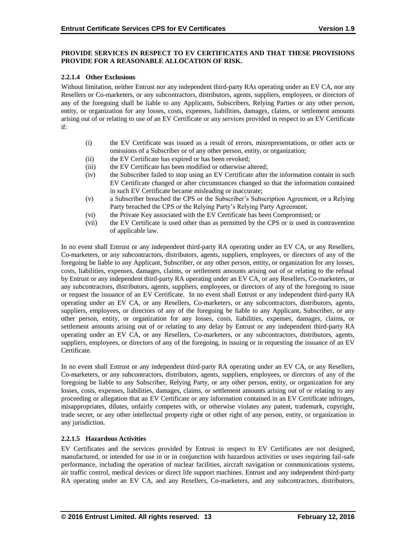#### **PROVIDE SERVICES IN RESPECT TO EV CERTIFICATES AND THAT THESE PROVISIONS PROVIDE FOR A REASONABLE ALLOCATION OF RISK.**

#### **2.2.1.4 Other Exclusions**

Without limitation, neither Entrust nor any independent third-party RAs operating under an EV CA, nor any Resellers or Co-marketers, or any subcontractors, distributors, agents, suppliers, employees, or directors of any of the foregoing shall be liable to any Applicants, Subscribers, Relying Parties or any other person, entity, or organization for any losses, costs, expenses, liabilities, damages, claims, or settlement amounts arising out of or relating to use of an EV Certificate or any services provided in respect to an EV Certificate if:

- (i) the EV Certificate was issued as a result of errors, misrepresentations, or other acts or omissions of a Subscriber or of any other person, entity, or organization;
- (ii) the EV Certificate has expired or has been revoked;
- (iii) the EV Certificate has been modified or otherwise altered;
- (iv) the Subscriber failed to stop using an EV Certificate after the information contain in such EV Certificate changed or after circumstances changed so that the information contained in such EV Certificate became misleading or inaccurate;
- (v) a Subscriber breached the CPS or the Subscriber's Subscription Agreement, or a Relying Party breached the CPS or the Relying Party's Relying Party Agreement;
- (vi) the Private Key associated with the EV Certificate has been Compromised; or
- (vii) the EV Certificate is used other than as permitted by the CPS or is used in contravention of applicable law.

In no event shall Entrust or any independent third-party RA operating under an EV CA, or any Resellers, Co-marketers, or any subcontractors, distributors, agents, suppliers, employees, or directors of any of the foregoing be liable to any Applicant, Subscriber, or any other person, entity, or organization for any losses, costs, liabilities, expenses, damages, claims, or settlement amounts arising out of or relating to the refusal by Entrust or any independent third-party RA operating under an EV CA, or any Resellers, Co-marketers, or any subcontractors, distributors, agents, suppliers, employees, or directors of any of the foregoing to issue or request the issuance of an EV Certificate. In no event shall Entrust or any independent third-party RA operating under an EV CA, or any Resellers, Co-marketers, or any subcontractors, distributors, agents, suppliers, employees, or directors of any of the foregoing be liable to any Applicant, Subscriber, or any other person, entity, or organization for any losses, costs, liabilities, expenses, damages, claims, or settlement amounts arising out of or relating to any delay by Entrust or any independent third-party RA operating under an EV CA, or any Resellers, Co-marketers, or any subcontractors, distributors, agents, suppliers, employees, or directors of any of the foregoing, in issuing or in requesting the issuance of an EV Certificate.

In no event shall Entrust or any independent third-party RA operating under an EV CA, or any Resellers, Co-marketers, or any subcontractors, distributors, agents, suppliers, employees, or directors of any of the foregoing be liable to any Subscriber, Relying Party, or any other person, entity, or organization for any losses, costs, expenses, liabilities, damages, claims, or settlement amounts arising out of or relating to any proceeding or allegation that an EV Certificate or any information contained in an EV Certificate infringes, misappropriates, dilutes, unfairly competes with, or otherwise violates any patent, trademark, copyright, trade secret, or any other intellectual property right or other right of any person, entity, or organization in any jurisdiction.

#### **2.2.1.5 Hazardous Activities**

EV Certificates and the services provided by Entrust in respect to EV Certificates are not designed, manufactured, or intended for use in or in conjunction with hazardous activities or uses requiring fail-safe performance, including the operation of nuclear facilities, aircraft navigation or communications systems, air traffic control, medical devices or direct life support machines. Entrust and any independent third-party RA operating under an EV CA, and any Resellers, Co-marketers, and any subcontractors, distributors,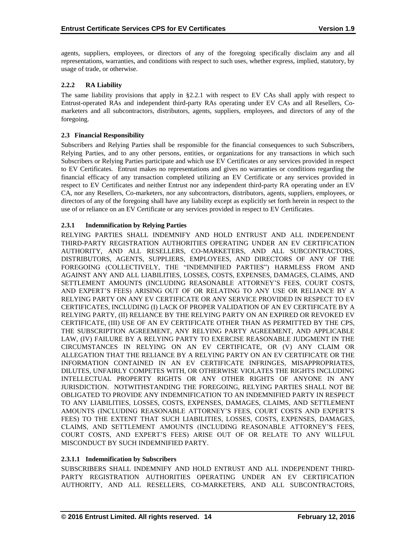agents, suppliers, employees, or directors of any of the foregoing specifically disclaim any and all representations, warranties, and conditions with respect to such uses, whether express, implied, statutory, by usage of trade, or otherwise.

## **2.2.2 RA Liability**

The same liability provisions that apply in §2.2.1 with respect to EV CAs shall apply with respect to Entrust-operated RAs and independent third-party RAs operating under EV CAs and all Resellers, Comarketers and all subcontractors, distributors, agents, suppliers, employees, and directors of any of the foregoing.

#### **2.3 Financial Responsibility**

Subscribers and Relying Parties shall be responsible for the financial consequences to such Subscribers, Relying Parties, and to any other persons, entities, or organizations for any transactions in which such Subscribers or Relying Parties participate and which use EV Certificates or any services provided in respect to EV Certificates. Entrust makes no representations and gives no warranties or conditions regarding the financial efficacy of any transaction completed utilizing an EV Certificate or any services provided in respect to EV Certificates and neither Entrust nor any independent third-party RA operating under an EV CA, nor any Resellers, Co-marketers, nor any subcontractors, distributors, agents, suppliers, employees, or directors of any of the foregoing shall have any liability except as explicitly set forth herein in respect to the use of or reliance on an EV Certificate or any services provided in respect to EV Certificates.

## **2.3.1 Indemnification by Relying Parties**

RELYING PARTIES SHALL INDEMNIFY AND HOLD ENTRUST AND ALL INDEPENDENT THIRD-PARTY REGISTRATION AUTHORITIES OPERATING UNDER AN EV CERTIFICATION AUTHORITY, AND ALL RESELLERS, CO-MARKETERS, AND ALL SUBCONTRACTORS, DISTRIBUTORS, AGENTS, SUPPLIERS, EMPLOYEES, AND DIRECTORS OF ANY OF THE FOREGOING (COLLECTIVELY, THE "INDEMNIFIED PARTIES") HARMLESS FROM AND AGAINST ANY AND ALL LIABILITIES, LOSSES, COSTS, EXPENSES, DAMAGES, CLAIMS, AND SETTLEMENT AMOUNTS (INCLUDING REASONABLE ATTORNEY'S FEES, COURT COSTS, AND EXPERT'S FEES) ARISING OUT OF OR RELATING TO ANY USE OR RELIANCE BY A RELYING PARTY ON ANY EV CERTIFICATE OR ANY SERVICE PROVIDED IN RESPECT TO EV CERTIFICATES, INCLUDING (I) LACK OF PROPER VALIDATION OF AN EV CERTIFICATE BY A RELYING PARTY, (II) RELIANCE BY THE RELYING PARTY ON AN EXPIRED OR REVOKED EV CERTIFICATE, (III) USE OF AN EV CERTIFICATE OTHER THAN AS PERMITTED BY THE CPS, THE SUBSCRIPTION AGREEMENT, ANY RELYING PARTY AGREEMENT, AND APPLICABLE LAW, (IV) FAILURE BY A RELYING PARTY TO EXERCISE REASONABLE JUDGMENT IN THE CIRCUMSTANCES IN RELYING ON AN EV CERTIFICATE, OR (V) ANY CLAIM OR ALLEGATION THAT THE RELIANCE BY A RELYING PARTY ON AN EV CERTIFICATE OR THE INFORMATION CONTAINED IN AN EV CERTIFICATE INFRINGES, MISAPPROPRIATES, DILUTES, UNFAIRLY COMPETES WITH, OR OTHERWISE VIOLATES THE RIGHTS INCLUDING INTELLECTUAL PROPERTY RIGHTS OR ANY OTHER RIGHTS OF ANYONE IN ANY JURISDICTION. NOTWITHSTANDING THE FOREGOING, RELYING PARTIES SHALL NOT BE OBLIGATED TO PROVIDE ANY INDEMNIFICATION TO AN INDEMNIFIED PARTY IN RESPECT TO ANY LIABILITIES, LOSSES, COSTS, EXPENSES, DAMAGES, CLAIMS, AND SETTLEMENT AMOUNTS (INCLUDING REASONABLE ATTORNEY'S FEES, COURT COSTS AND EXPERT'S FEES) TO THE EXTENT THAT SUCH LIABILITIES, LOSSES, COSTS, EXPENSES, DAMAGES, CLAIMS, AND SETTLEMENT AMOUNTS (INCLUDING REASONABLE ATTORNEY'S FEES, COURT COSTS, AND EXPERT'S FEES) ARISE OUT OF OR RELATE TO ANY WILLFUL MISCONDUCT BY SUCH INDEMNIFIED PARTY.

#### **2.3.1.1 Indemnification by Subscribers**

SUBSCRIBERS SHALL INDEMNIFY AND HOLD ENTRUST AND ALL INDEPENDENT THIRD-PARTY REGISTRATION AUTHORITIES OPERATING UNDER AN EV CERTIFICATION AUTHORITY, AND ALL RESELLERS, CO-MARKETERS, AND ALL SUBCONTRACTORS,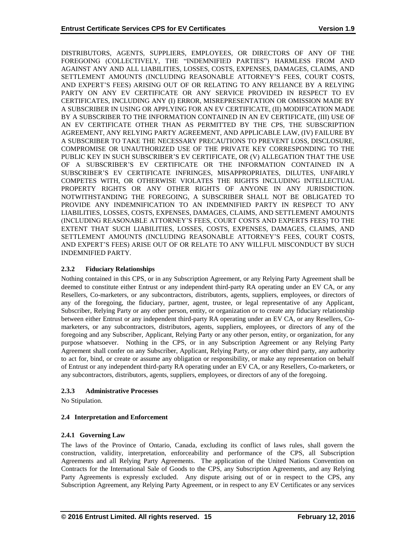DISTRIBUTORS, AGENTS, SUPPLIERS, EMPLOYEES, OR DIRECTORS OF ANY OF THE FOREGOING (COLLECTIVELY, THE "INDEMNIFIED PARTIES") HARMLESS FROM AND AGAINST ANY AND ALL LIABILITIES, LOSSES, COSTS, EXPENSES, DAMAGES, CLAIMS, AND SETTLEMENT AMOUNTS (INCLUDING REASONABLE ATTORNEY'S FEES, COURT COSTS, AND EXPERT'S FEES) ARISING OUT OF OR RELATING TO ANY RELIANCE BY A RELYING PARTY ON ANY EV CERTIFICATE OR ANY SERVICE PROVIDED IN RESPECT TO EV CERTIFICATES, INCLUDING ANY (I) ERROR, MISREPRESENTATION OR OMISSION MADE BY A SUBSCRIBER IN USING OR APPLYING FOR AN EV CERTIFICATE, (II) MODIFICATION MADE BY A SUBSCRIBER TO THE INFORMATION CONTAINED IN AN EV CERTIFICATE, (III) USE OF AN EV CERTIFICATE OTHER THAN AS PERMITTED BY THE CPS, THE SUBSCRIPTION AGREEMENT, ANY RELYING PARTY AGREEMENT, AND APPLICABLE LAW, (IV) FAILURE BY A SUBSCRIBER TO TAKE THE NECESSARY PRECAUTIONS TO PREVENT LOSS, DISCLOSURE, COMPROMISE OR UNAUTHORIZED USE OF THE PRIVATE KEY CORRESPONDING TO THE PUBLIC KEY IN SUCH SUBSCRIBER'S EV CERTIFICATE, OR (V) ALLEGATION THAT THE USE OF A SUBSCRIBER'S EV CERTIFICATE OR THE INFORMATION CONTAINED IN A SUBSCRIBER'S EV CERTIFICATE INFRINGES, MISAPPROPRIATES, DILUTES, UNFAIRLY COMPETES WITH, OR OTHERWISE VIOLATES THE RIGHTS INCLUDING INTELLECTUAL PROPERTY RIGHTS OR ANY OTHER RIGHTS OF ANYONE IN ANY JURISDICTION. NOTWITHSTANDING THE FOREGOING, A SUBSCRIBER SHALL NOT BE OBLIGATED TO PROVIDE ANY INDEMNIFICATION TO AN INDEMNIFIED PARTY IN RESPECT TO ANY LIABILITIES, LOSSES, COSTS, EXPENSES, DAMAGES, CLAIMS, AND SETTLEMENT AMOUNTS (INCLUDING REASONABLE ATTORNEY'S FEES, COURT COSTS AND EXPERTS FEES) TO THE EXTENT THAT SUCH LIABILITIES, LOSSES, COSTS, EXPENSES, DAMAGES, CLAIMS, AND SETTLEMENT AMOUNTS (INCLUDING REASONABLE ATTORNEY'S FEES, COURT COSTS, AND EXPERT'S FEES) ARISE OUT OF OR RELATE TO ANY WILLFUL MISCONDUCT BY SUCH INDEMNIFIED PARTY.

## **2.3.2 Fiduciary Relationships**

Nothing contained in this CPS, or in any Subscription Agreement, or any Relying Party Agreement shall be deemed to constitute either Entrust or any independent third-party RA operating under an EV CA, or any Resellers, Co-marketers, or any subcontractors, distributors, agents, suppliers, employees, or directors of any of the foregoing, the fiduciary, partner, agent, trustee, or legal representative of any Applicant, Subscriber, Relying Party or any other person, entity, or organization or to create any fiduciary relationship between either Entrust or any independent third-party RA operating under an EV CA, or any Resellers, Comarketers, or any subcontractors, distributors, agents, suppliers, employees, or directors of any of the foregoing and any Subscriber, Applicant, Relying Party or any other person, entity, or organization, for any purpose whatsoever. Nothing in the CPS, or in any Subscription Agreement or any Relying Party Agreement shall confer on any Subscriber, Applicant, Relying Party, or any other third party, any authority to act for, bind, or create or assume any obligation or responsibility, or make any representation on behalf of Entrust or any independent third-party RA operating under an EV CA, or any Resellers, Co-marketers, or any subcontractors, distributors, agents, suppliers, employees, or directors of any of the foregoing.

#### **2.3.3 Administrative Processes**

No Stipulation.

# **2.4 Interpretation and Enforcement**

# **2.4.1 Governing Law**

The laws of the Province of Ontario, Canada, excluding its conflict of laws rules, shall govern the construction, validity, interpretation, enforceability and performance of the CPS, all Subscription Agreements and all Relying Party Agreements. The application of the United Nations Convention on Contracts for the International Sale of Goods to the CPS, any Subscription Agreements, and any Relying Party Agreements is expressly excluded. Any dispute arising out of or in respect to the CPS, any Subscription Agreement, any Relying Party Agreement, or in respect to any EV Certificates or any services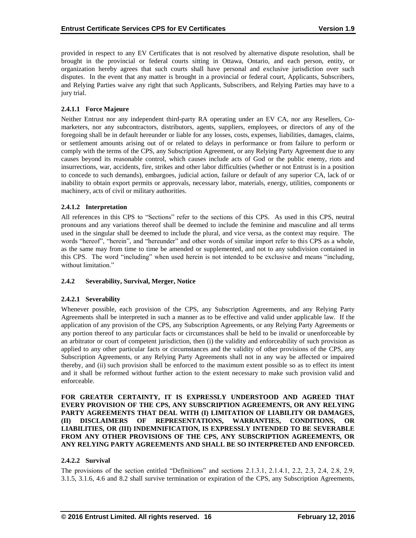provided in respect to any EV Certificates that is not resolved by alternative dispute resolution, shall be brought in the provincial or federal courts sitting in Ottawa, Ontario, and each person, entity, or organization hereby agrees that such courts shall have personal and exclusive jurisdiction over such disputes. In the event that any matter is brought in a provincial or federal court, Applicants, Subscribers, and Relying Parties waive any right that such Applicants, Subscribers, and Relying Parties may have to a jury trial.

## **2.4.1.1 Force Majeure**

Neither Entrust nor any independent third-party RA operating under an EV CA, nor any Resellers, Comarketers, nor any subcontractors, distributors, agents, suppliers, employees, or directors of any of the foregoing shall be in default hereunder or liable for any losses, costs, expenses, liabilities, damages, claims, or settlement amounts arising out of or related to delays in performance or from failure to perform or comply with the terms of the CPS, any Subscription Agreement, or any Relying Party Agreement due to any causes beyond its reasonable control, which causes include acts of God or the public enemy, riots and insurrections, war, accidents, fire, strikes and other labor difficulties (whether or not Entrust is in a position to concede to such demands), embargoes, judicial action, failure or default of any superior CA, lack of or inability to obtain export permits or approvals, necessary labor, materials, energy, utilities, components or machinery, acts of civil or military authorities.

## **2.4.1.2 Interpretation**

All references in this CPS to "Sections" refer to the sections of this CPS. As used in this CPS, neutral pronouns and any variations thereof shall be deemed to include the feminine and masculine and all terms used in the singular shall be deemed to include the plural, and vice versa, as the context may require. The words "hereof", "herein", and "hereunder" and other words of similar import refer to this CPS as a whole, as the same may from time to time be amended or supplemented, and not to any subdivision contained in this CPS. The word "including" when used herein is not intended to be exclusive and means "including, without limitation."

#### **2.4.2 Severability, Survival, Merger, Notice**

#### **2.4.2.1 Severability**

Whenever possible, each provision of the CPS, any Subscription Agreements, and any Relying Party Agreements shall be interpreted in such a manner as to be effective and valid under applicable law. If the application of any provision of the CPS, any Subscription Agreements, or any Relying Party Agreements or any portion thereof to any particular facts or circumstances shall be held to be invalid or unenforceable by an arbitrator or court of competent jurisdiction, then (i) the validity and enforceability of such provision as applied to any other particular facts or circumstances and the validity of other provisions of the CPS, any Subscription Agreements, or any Relying Party Agreements shall not in any way be affected or impaired thereby, and (ii) such provision shall be enforced to the maximum extent possible so as to effect its intent and it shall be reformed without further action to the extent necessary to make such provision valid and enforceable.

**FOR GREATER CERTAINTY, IT IS EXPRESSLY UNDERSTOOD AND AGREED THAT EVERY PROVISION OF THE CPS, ANY SUBSCRIPTION AGREEMENTS, OR ANY RELYING PARTY AGREEMENTS THAT DEAL WITH (I) LIMITATION OF LIABILITY OR DAMAGES, (II) DISCLAIMERS OF REPRESENTATIONS, WARRANTIES, CONDITIONS, OR LIABILITIES, OR (III) INDEMNIFICATION, IS EXPRESSLY INTENDED TO BE SEVERABLE FROM ANY OTHER PROVISIONS OF THE CPS, ANY SUBSCRIPTION AGREEMENTS, OR ANY RELYING PARTY AGREEMENTS AND SHALL BE SO INTERPRETED AND ENFORCED.**

#### **2.4.2.2 Survival**

The provisions of the section entitled "Definitions" and sections 2.1.3.1, 2.1.4.1, 2.2, 2.3, 2.4, 2.8, 2.9, 3.1.5, 3.1.6, 4.6 and 8.2 shall survive termination or expiration of the CPS, any Subscription Agreements,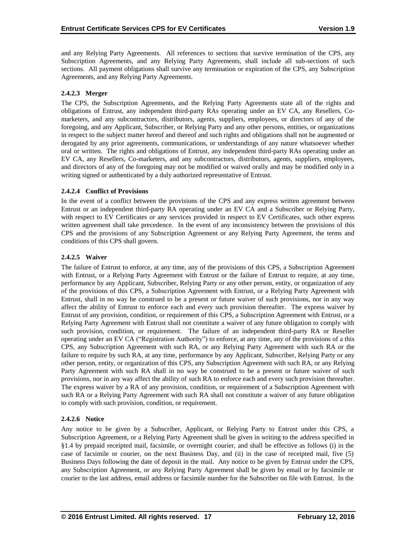and any Relying Party Agreements. All references to sections that survive termination of the CPS, any Subscription Agreements, and any Relying Party Agreements, shall include all sub-sections of such sections. All payment obligations shall survive any termination or expiration of the CPS, any Subscription Agreements, and any Relying Party Agreements.

# **2.4.2.3 Merger**

The CPS, the Subscription Agreements, and the Relying Party Agreements state all of the rights and obligations of Entrust, any independent third-party RAs operating under an EV CA, any Resellers, Comarketers, and any subcontractors, distributors, agents, suppliers, employees, or directors of any of the foregoing, and any Applicant, Subscriber, or Relying Party and any other persons, entities, or organizations in respect to the subject matter hereof and thereof and such rights and obligations shall not be augmented or derogated by any prior agreements, communications, or understandings of any nature whatsoever whether oral or written. The rights and obligations of Entrust, any independent third-party RAs operating under an EV CA, any Resellers, Co-marketers, and any subcontractors, distributors, agents, suppliers, employees, and directors of any of the foregoing may not be modified or waived orally and may be modified only in a writing signed or authenticated by a duly authorized representative of Entrust.

## **2.4.2.4 Conflict of Provisions**

In the event of a conflict between the provisions of the CPS and any express written agreement between Entrust or an independent third-party RA operating under an EV CA and a Subscriber or Relying Party, with respect to EV Certificates or any services provided in respect to EV Certificates, such other express written agreement shall take precedence. In the event of any inconsistency between the provisions of this CPS and the provisions of any Subscription Agreement or any Relying Party Agreement, the terms and conditions of this CPS shall govern.

# **2.4.2.5 Waiver**

The failure of Entrust to enforce, at any time, any of the provisions of this CPS, a Subscription Agreement with Entrust, or a Relying Party Agreement with Entrust or the failure of Entrust to require, at any time, performance by any Applicant, Subscriber, Relying Party or any other person, entity, or organization of any of the provisions of this CPS, a Subscription Agreement with Entrust, or a Relying Party Agreement with Entrust, shall in no way be construed to be a present or future waiver of such provisions, nor in any way affect the ability of Entrust to enforce each and every such provision thereafter. The express waiver by Entrust of any provision, condition, or requirement of this CPS, a Subscription Agreement with Entrust, or a Relying Party Agreement with Entrust shall not constitute a waiver of any future obligation to comply with such provision, condition, or requirement. The failure of an independent third-party RA or Reseller operating under an EV CA ("Registration Authority") to enforce, at any time, any of the provisions of a this CPS, any Subscription Agreement with such RA, or any Relying Party Agreement with such RA or the failure to require by such RA, at any time, performance by any Applicant, Subscriber, Relying Party or any other person, entity, or organization of this CPS, any Subscription Agreement with such RA, or any Relying Party Agreement with such RA shall in no way be construed to be a present or future waiver of such provisions, nor in any way affect the ability of such RA to enforce each and every such provision thereafter. The express waiver by a RA of any provision, condition, or requirement of a Subscription Agreement with such RA or a Relying Party Agreement with such RA shall not constitute a waiver of any future obligation to comply with such provision, condition, or requirement.

# **2.4.2.6 Notice**

Any notice to be given by a Subscriber, Applicant, or Relying Party to Entrust under this CPS, a Subscription Agreement, or a Relying Party Agreement shall be given in writing to the address specified in §1.4 by prepaid receipted mail, facsimile, or overnight courier, and shall be effective as follows (i) in the case of facsimile or courier, on the next Business Day, and (ii) in the case of receipted mail, five (5) Business Days following the date of deposit in the mail. Any notice to be given by Entrust under the CPS, any Subscription Agreement, or any Relying Party Agreement shall be given by email or by facsimile or courier to the last address, email address or facsimile number for the Subscriber on file with Entrust. In the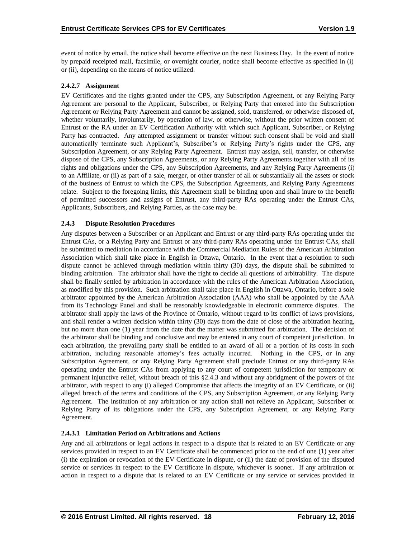event of notice by email, the notice shall become effective on the next Business Day. In the event of notice by prepaid receipted mail, facsimile, or overnight courier, notice shall become effective as specified in (i) or (ii), depending on the means of notice utilized.

# **2.4.2.7 Assignment**

EV Certificates and the rights granted under the CPS, any Subscription Agreement, or any Relying Party Agreement are personal to the Applicant, Subscriber, or Relying Party that entered into the Subscription Agreement or Relying Party Agreement and cannot be assigned, sold, transferred, or otherwise disposed of, whether voluntarily, involuntarily, by operation of law, or otherwise, without the prior written consent of Entrust or the RA under an EV Certification Authority with which such Applicant, Subscriber, or Relying Party has contracted. Any attempted assignment or transfer without such consent shall be void and shall automatically terminate such Applicant's, Subscriber's or Relying Party's rights under the CPS, any Subscription Agreement, or any Relying Party Agreement. Entrust may assign, sell, transfer, or otherwise dispose of the CPS, any Subscription Agreements, or any Relying Party Agreements together with all of its rights and obligations under the CPS, any Subscription Agreements, and any Relying Party Agreements (i) to an Affiliate, or (ii) as part of a sale, merger, or other transfer of all or substantially all the assets or stock of the business of Entrust to which the CPS, the Subscription Agreements, and Relying Party Agreements relate. Subject to the foregoing limits, this Agreement shall be binding upon and shall inure to the benefit of permitted successors and assigns of Entrust, any third-party RAs operating under the Entrust CAs, Applicants, Subscribers, and Relying Parties, as the case may be.

# **2.4.3 Dispute Resolution Procedures**

Any disputes between a Subscriber or an Applicant and Entrust or any third-party RAs operating under the Entrust CAs, or a Relying Party and Entrust or any third-party RAs operating under the Entrust CAs, shall be submitted to mediation in accordance with the Commercial Mediation Rules of the American Arbitration Association which shall take place in English in Ottawa, Ontario. In the event that a resolution to such dispute cannot be achieved through mediation within thirty (30) days, the dispute shall be submitted to binding arbitration. The arbitrator shall have the right to decide all questions of arbitrability. The dispute shall be finally settled by arbitration in accordance with the rules of the American Arbitration Association, as modified by this provision. Such arbitration shall take place in English in Ottawa, Ontario, before a sole arbitrator appointed by the American Arbitration Association (AAA) who shall be appointed by the AAA from its Technology Panel and shall be reasonably knowledgeable in electronic commerce disputes. The arbitrator shall apply the laws of the Province of Ontario, without regard to its conflict of laws provisions, and shall render a written decision within thirty (30) days from the date of close of the arbitration hearing, but no more than one (1) year from the date that the matter was submitted for arbitration. The decision of the arbitrator shall be binding and conclusive and may be entered in any court of competent jurisdiction. In each arbitration, the prevailing party shall be entitled to an award of all or a portion of its costs in such arbitration, including reasonable attorney's fees actually incurred. Nothing in the CPS, or in any Subscription Agreement, or any Relying Party Agreement shall preclude Entrust or any third-party RAs operating under the Entrust CAs from applying to any court of competent jurisdiction for temporary or permanent injunctive relief, without breach of this §2.4.3 and without any abridgment of the powers of the arbitrator, with respect to any (i) alleged Compromise that affects the integrity of an EV Certificate, or (ii) alleged breach of the terms and conditions of the CPS, any Subscription Agreement, or any Relying Party Agreement. The institution of any arbitration or any action shall not relieve an Applicant, Subscriber or Relying Party of its obligations under the CPS, any Subscription Agreement, or any Relying Party Agreement.

# **2.4.3.1 Limitation Period on Arbitrations and Actions**

Any and all arbitrations or legal actions in respect to a dispute that is related to an EV Certificate or any services provided in respect to an EV Certificate shall be commenced prior to the end of one (1) year after (i) the expiration or revocation of the EV Certificate in dispute, or (ii) the date of provision of the disputed service or services in respect to the EV Certificate in dispute, whichever is sooner. If any arbitration or action in respect to a dispute that is related to an EV Certificate or any service or services provided in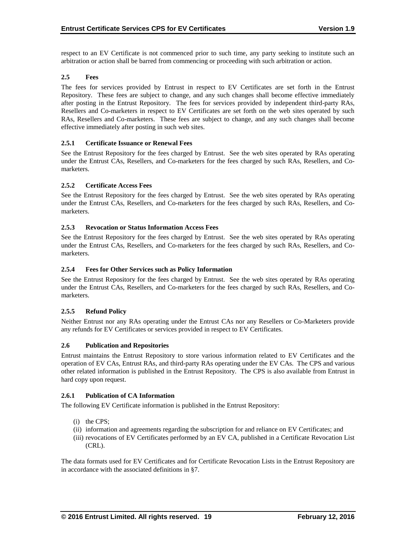respect to an EV Certificate is not commenced prior to such time, any party seeking to institute such an arbitration or action shall be barred from commencing or proceeding with such arbitration or action.

## **2.5 Fees**

The fees for services provided by Entrust in respect to EV Certificates are set forth in the Entrust Repository. These fees are subject to change, and any such changes shall become effective immediately after posting in the Entrust Repository. The fees for services provided by independent third-party RAs, Resellers and Co-marketers in respect to EV Certificates are set forth on the web sites operated by such RAs, Resellers and Co-marketers. These fees are subject to change, and any such changes shall become effective immediately after posting in such web sites.

## **2.5.1 Certificate Issuance or Renewal Fees**

See the Entrust Repository for the fees charged by Entrust. See the web sites operated by RAs operating under the Entrust CAs, Resellers, and Co-marketers for the fees charged by such RAs, Resellers, and Comarketers.

## **2.5.2 Certificate Access Fees**

See the Entrust Repository for the fees charged by Entrust. See the web sites operated by RAs operating under the Entrust CAs, Resellers, and Co-marketers for the fees charged by such RAs, Resellers, and Comarketers.

## **2.5.3 Revocation or Status Information Access Fees**

See the Entrust Repository for the fees charged by Entrust. See the web sites operated by RAs operating under the Entrust CAs, Resellers, and Co-marketers for the fees charged by such RAs, Resellers, and Comarketers.

### **2.5.4 Fees for Other Services such as Policy Information**

See the Entrust Repository for the fees charged by Entrust. See the web sites operated by RAs operating under the Entrust CAs, Resellers, and Co-marketers for the fees charged by such RAs, Resellers, and Comarketers.

#### **2.5.5 Refund Policy**

Neither Entrust nor any RAs operating under the Entrust CAs nor any Resellers or Co-Marketers provide any refunds for EV Certificates or services provided in respect to EV Certificates.

#### **2.6 Publication and Repositories**

Entrust maintains the Entrust Repository to store various information related to EV Certificates and the operation of EV CAs, Entrust RAs, and third-party RAs operating under the EV CAs. The CPS and various other related information is published in the Entrust Repository. The CPS is also available from Entrust in hard copy upon request.

#### **2.6.1 Publication of CA Information**

The following EV Certificate information is published in the Entrust Repository:

- (i) the CPS;
- (ii) information and agreements regarding the subscription for and reliance on EV Certificates; and
- (iii) revocations of EV Certificates performed by an EV CA, published in a Certificate Revocation List (CRL).

The data formats used for EV Certificates and for Certificate Revocation Lists in the Entrust Repository are in accordance with the associated definitions in §7.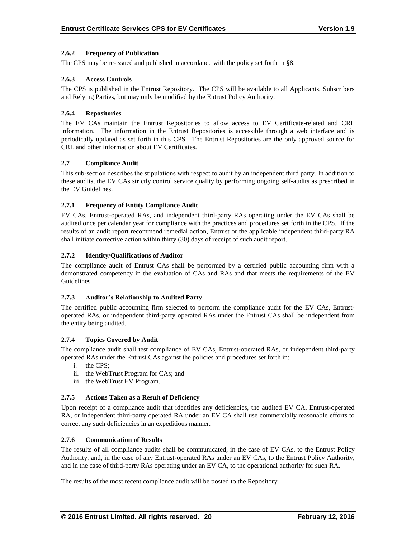## **2.6.2 Frequency of Publication**

The CPS may be re-issued and published in accordance with the policy set forth in §8.

### **2.6.3 Access Controls**

The CPS is published in the Entrust Repository. The CPS will be available to all Applicants, Subscribers and Relying Parties, but may only be modified by the Entrust Policy Authority.

### **2.6.4 Repositories**

The EV CAs maintain the Entrust Repositories to allow access to EV Certificate-related and CRL information. The information in the Entrust Repositories is accessible through a web interface and is periodically updated as set forth in this CPS. The Entrust Repositories are the only approved source for CRL and other information about EV Certificates.

## **2.7 Compliance Audit**

This sub-section describes the stipulations with respect to audit by an independent third party. In addition to these audits, the EV CAs strictly control service quality by performing ongoing self-audits as prescribed in the EV Guidelines.

# **2.7.1 Frequency of Entity Compliance Audit**

EV CAs, Entrust-operated RAs, and independent third-party RAs operating under the EV CAs shall be audited once per calendar year for compliance with the practices and procedures set forth in the CPS. If the results of an audit report recommend remedial action, Entrust or the applicable independent third-party RA shall initiate corrective action within thirty (30) days of receipt of such audit report.

## **2.7.2 Identity/Qualifications of Auditor**

The compliance audit of Entrust CAs shall be performed by a certified public accounting firm with a demonstrated competency in the evaluation of CAs and RAs and that meets the requirements of the EV Guidelines.

#### **2.7.3 Auditor's Relationship to Audited Party**

The certified public accounting firm selected to perform the compliance audit for the EV CAs, Entrustoperated RAs, or independent third-party operated RAs under the Entrust CAs shall be independent from the entity being audited.

#### **2.7.4 Topics Covered by Audit**

The compliance audit shall test compliance of EV CAs, Entrust-operated RAs, or independent third-party operated RAs under the Entrust CAs against the policies and procedures set forth in:

- i. the CPS;
- ii. the WebTrust Program for CAs; and
- iii. the WebTrust EV Program.

# **2.7.5 Actions Taken as a Result of Deficiency**

Upon receipt of a compliance audit that identifies any deficiencies, the audited EV CA, Entrust-operated RA, or independent third-party operated RA under an EV CA shall use commercially reasonable efforts to correct any such deficiencies in an expeditious manner.

#### **2.7.6 Communication of Results**

The results of all compliance audits shall be communicated, in the case of EV CAs, to the Entrust Policy Authority, and, in the case of any Entrust-operated RAs under an EV CAs, to the Entrust Policy Authority, and in the case of third-party RAs operating under an EV CA, to the operational authority for such RA.

The results of the most recent compliance audit will be posted to the Repository.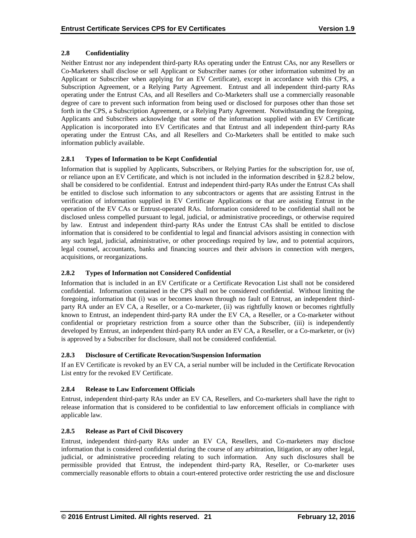# **2.8 Confidentiality**

Neither Entrust nor any independent third-party RAs operating under the Entrust CAs, nor any Resellers or Co-Marketers shall disclose or sell Applicant or Subscriber names (or other information submitted by an Applicant or Subscriber when applying for an EV Certificate), except in accordance with this CPS, a Subscription Agreement, or a Relying Party Agreement. Entrust and all independent third-party RAs operating under the Entrust CAs, and all Resellers and Co-Marketers shall use a commercially reasonable degree of care to prevent such information from being used or disclosed for purposes other than those set forth in the CPS, a Subscription Agreement, or a Relying Party Agreement. Notwithstanding the foregoing, Applicants and Subscribers acknowledge that some of the information supplied with an EV Certificate Application is incorporated into EV Certificates and that Entrust and all independent third-party RAs operating under the Entrust CAs, and all Resellers and Co-Marketers shall be entitled to make such information publicly available.

# **2.8.1 Types of Information to be Kept Confidential**

Information that is supplied by Applicants, Subscribers, or Relying Parties for the subscription for, use of, or reliance upon an EV Certificate, and which is not included in the information described in §2.8.2 below, shall be considered to be confidential. Entrust and independent third-party RAs under the Entrust CAs shall be entitled to disclose such information to any subcontractors or agents that are assisting Entrust in the verification of information supplied in EV Certificate Applications or that are assisting Entrust in the operation of the EV CAs or Entrust-operated RAs. Information considered to be confidential shall not be disclosed unless compelled pursuant to legal, judicial, or administrative proceedings, or otherwise required by law. Entrust and independent third-party RAs under the Entrust CAs shall be entitled to disclose information that is considered to be confidential to legal and financial advisors assisting in connection with any such legal, judicial, administrative, or other proceedings required by law, and to potential acquirors, legal counsel, accountants, banks and financing sources and their advisors in connection with mergers, acquisitions, or reorganizations.

# **2.8.2 Types of Information not Considered Confidential**

Information that is included in an EV Certificate or a Certificate Revocation List shall not be considered confidential. Information contained in the CPS shall not be considered confidential. Without limiting the foregoing, information that (i) was or becomes known through no fault of Entrust, an independent thirdparty RA under an EV CA, a Reseller, or a Co-marketer, (ii) was rightfully known or becomes rightfully known to Entrust, an independent third-party RA under the EV CA, a Reseller, or a Co-marketer without confidential or proprietary restriction from a source other than the Subscriber, (iii) is independently developed by Entrust, an independent third-party RA under an EV CA, a Reseller, or a Co-marketer, or (iv) is approved by a Subscriber for disclosure, shall not be considered confidential.

# **2.8.3 Disclosure of Certificate Revocation/Suspension Information**

If an EV Certificate is revoked by an EV CA, a serial number will be included in the Certificate Revocation List entry for the revoked EV Certificate.

# **2.8.4 Release to Law Enforcement Officials**

Entrust, independent third-party RAs under an EV CA, Resellers, and Co-marketers shall have the right to release information that is considered to be confidential to law enforcement officials in compliance with applicable law.

# **2.8.5 Release as Part of Civil Discovery**

Entrust, independent third-party RAs under an EV CA, Resellers, and Co-marketers may disclose information that is considered confidential during the course of any arbitration, litigation, or any other legal, judicial, or administrative proceeding relating to such information. Any such disclosures shall be permissible provided that Entrust, the independent third-party RA, Reseller, or Co-marketer uses commercially reasonable efforts to obtain a court-entered protective order restricting the use and disclosure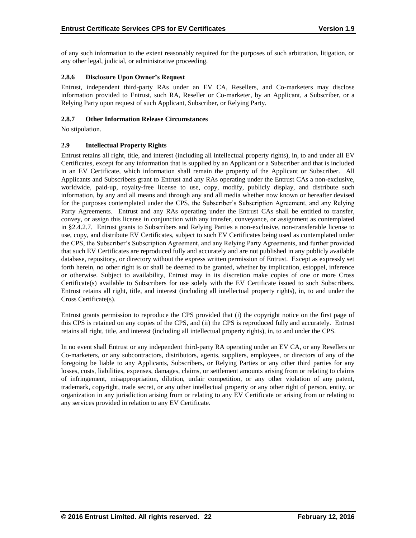of any such information to the extent reasonably required for the purposes of such arbitration, litigation, or any other legal, judicial, or administrative proceeding.

# **2.8.6 Disclosure Upon Owner's Request**

Entrust, independent third-party RAs under an EV CA, Resellers, and Co-marketers may disclose information provided to Entrust, such RA, Reseller or Co-marketer, by an Applicant, a Subscriber, or a Relying Party upon request of such Applicant, Subscriber, or Relying Party.

# **2.8.7 Other Information Release Circumstances**

No stipulation.

# **2.9 Intellectual Property Rights**

Entrust retains all right, title, and interest (including all intellectual property rights), in, to and under all EV Certificates, except for any information that is supplied by an Applicant or a Subscriber and that is included in an EV Certificate, which information shall remain the property of the Applicant or Subscriber. All Applicants and Subscribers grant to Entrust and any RAs operating under the Entrust CAs a non-exclusive, worldwide, paid-up, royalty-free license to use, copy, modify, publicly display, and distribute such information, by any and all means and through any and all media whether now known or hereafter devised for the purposes contemplated under the CPS, the Subscriber's Subscription Agreement, and any Relying Party Agreements. Entrust and any RAs operating under the Entrust CAs shall be entitled to transfer, convey, or assign this license in conjunction with any transfer, conveyance, or assignment as contemplated in §2.4.2.7. Entrust grants to Subscribers and Relying Parties a non-exclusive, non-transferable license to use, copy, and distribute EV Certificates, subject to such EV Certificates being used as contemplated under the CPS, the Subscriber's Subscription Agreement, and any Relying Party Agreements, and further provided that such EV Certificates are reproduced fully and accurately and are not published in any publicly available database, repository, or directory without the express written permission of Entrust. Except as expressly set forth herein, no other right is or shall be deemed to be granted, whether by implication, estoppel, inference or otherwise. Subject to availability, Entrust may in its discretion make copies of one or more Cross Certificate(s) available to Subscribers for use solely with the EV Certificate issued to such Subscribers. Entrust retains all right, title, and interest (including all intellectual property rights), in, to and under the Cross Certificate(s).

Entrust grants permission to reproduce the CPS provided that (i) the copyright notice on the first page of this CPS is retained on any copies of the CPS, and (ii) the CPS is reproduced fully and accurately. Entrust retains all right, title, and interest (including all intellectual property rights), in, to and under the CPS.

In no event shall Entrust or any independent third-party RA operating under an EV CA, or any Resellers or Co-marketers, or any subcontractors, distributors, agents, suppliers, employees, or directors of any of the foregoing be liable to any Applicants, Subscribers, or Relying Parties or any other third parties for any losses, costs, liabilities, expenses, damages, claims, or settlement amounts arising from or relating to claims of infringement, misappropriation, dilution, unfair competition, or any other violation of any patent, trademark, copyright, trade secret, or any other intellectual property or any other right of person, entity, or organization in any jurisdiction arising from or relating to any EV Certificate or arising from or relating to any services provided in relation to any EV Certificate.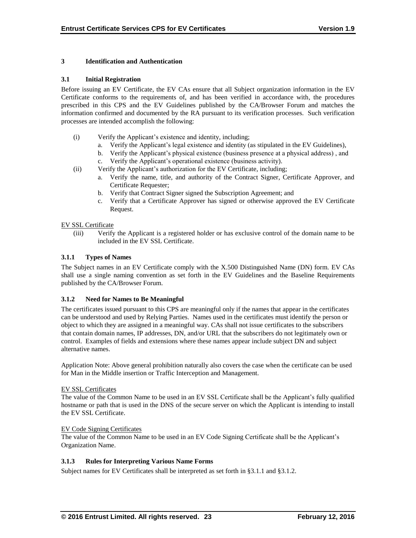## **3 Identification and Authentication**

### **3.1 Initial Registration**

Before issuing an EV Certificate, the EV CAs ensure that all Subject organization information in the EV Certificate conforms to the requirements of, and has been verified in accordance with, the procedures prescribed in this CPS and the EV Guidelines published by the CA/Browser Forum and matches the information confirmed and documented by the RA pursuant to its verification processes. Such verification processes are intended accomplish the following:

- (i) Verify the Applicant's existence and identity, including;
	- a. Verify the Applicant's legal existence and identity (as stipulated in the EV Guidelines),
	- b. Verify the Applicant's physical existence (business presence at a physical address) , and
	- c. Verify the Applicant's operational existence (business activity).
- (ii) Verify the Applicant's authorization for the EV Certificate, including;
	- a. Verify the name, title, and authority of the Contract Signer, Certificate Approver, and Certificate Requester;
	- b. Verify that Contract Signer signed the Subscription Agreement; and
	- c. Verify that a Certificate Approver has signed or otherwise approved the EV Certificate Request.

## EV SSL Certificate

(iii) Verify the Applicant is a registered holder or has exclusive control of the domain name to be included in the EV SSL Certificate.

## **3.1.1 Types of Names**

The Subject names in an EV Certificate comply with the X.500 Distinguished Name (DN) form. EV CAs shall use a single naming convention as set forth in the EV Guidelines and the Baseline Requirements published by the CA/Browser Forum.

#### **3.1.2 Need for Names to Be Meaningful**

The certificates issued pursuant to this CPS are meaningful only if the names that appear in the certificates can be understood and used by Relying Parties. Names used in the certificates must identify the person or object to which they are assigned in a meaningful way. CAs shall not issue certificates to the subscribers that contain domain names, IP addresses, DN, and/or URL that the subscribers do not legitimately own or control. Examples of fields and extensions where these names appear include subject DN and subject alternative names.

Application Note: Above general prohibition naturally also covers the case when the certificate can be used for Man in the Middle insertion or Traffic Interception and Management.

#### EV SSL Certificates

The value of the Common Name to be used in an EV SSL Certificate shall be the Applicant's fully qualified hostname or path that is used in the DNS of the secure server on which the Applicant is intending to install the EV SSL Certificate.

#### EV Code Signing Certificates

The value of the Common Name to be used in an EV Code Signing Certificate shall be the Applicant's Organization Name.

# **3.1.3 Rules for Interpreting Various Name Forms**

Subject names for EV Certificates shall be interpreted as set forth in §3.1.1 and §3.1.2.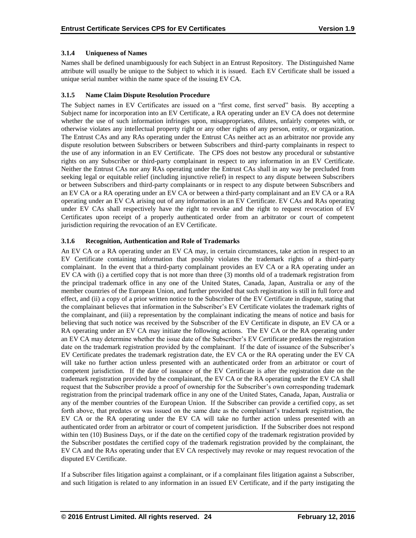# **3.1.4 Uniqueness of Names**

Names shall be defined unambiguously for each Subject in an Entrust Repository. The Distinguished Name attribute will usually be unique to the Subject to which it is issued. Each EV Certificate shall be issued a unique serial number within the name space of the issuing EV CA.

# **3.1.5 Name Claim Dispute Resolution Procedure**

The Subject names in EV Certificates are issued on a "first come, first served" basis. By accepting a Subject name for incorporation into an EV Certificate, a RA operating under an EV CA does not determine whether the use of such information infringes upon, misappropriates, dilutes, unfairly competes with, or otherwise violates any intellectual property right or any other rights of any person, entity, or organization. The Entrust CAs and any RAs operating under the Entrust CAs neither act as an arbitrator nor provide any dispute resolution between Subscribers or between Subscribers and third-party complainants in respect to the use of any information in an EV Certificate. The CPS does not bestow any procedural or substantive rights on any Subscriber or third-party complainant in respect to any information in an EV Certificate. Neither the Entrust CAs nor any RAs operating under the Entrust CAs shall in any way be precluded from seeking legal or equitable relief (including injunctive relief) in respect to any dispute between Subscribers or between Subscribers and third-party complainants or in respect to any dispute between Subscribers and an EV CA or a RA operating under an EV CA or between a third-party complainant and an EV CA or a RA operating under an EV CA arising out of any information in an EV Certificate. EV CAs and RAs operating under EV CAs shall respectively have the right to revoke and the right to request revocation of EV Certificates upon receipt of a properly authenticated order from an arbitrator or court of competent jurisdiction requiring the revocation of an EV Certificate.

# **3.1.6 Recognition, Authentication and Role of Trademarks**

An EV CA or a RA operating under an EV CA may, in certain circumstances, take action in respect to an EV Certificate containing information that possibly violates the trademark rights of a third-party complainant. In the event that a third-party complainant provides an EV CA or a RA operating under an EV CA with (i) a certified copy that is not more than three (3) months old of a trademark registration from the principal trademark office in any one of the United States, Canada, Japan, Australia or any of the member countries of the European Union, and further provided that such registration is still in full force and effect, and (ii) a copy of a prior written notice to the Subscriber of the EV Certificate in dispute, stating that the complainant believes that information in the Subscriber's EV Certificate violates the trademark rights of the complainant, and (iii) a representation by the complainant indicating the means of notice and basis for believing that such notice was received by the Subscriber of the EV Certificate in dispute, an EV CA or a RA operating under an EV CA may initiate the following actions. The EV CA or the RA operating under an EV CA may determine whether the issue date of the Subscriber's EV Certificate predates the registration date on the trademark registration provided by the complainant. If the date of issuance of the Subscriber's EV Certificate predates the trademark registration date, the EV CA or the RA operating under the EV CA will take no further action unless presented with an authenticated order from an arbitrator or court of competent jurisdiction. If the date of issuance of the EV Certificate is after the registration date on the trademark registration provided by the complainant, the EV CA or the RA operating under the EV CA shall request that the Subscriber provide a proof of ownership for the Subscriber's own corresponding trademark registration from the principal trademark office in any one of the United States, Canada, Japan, Australia or any of the member countries of the European Union. If the Subscriber can provide a certified copy, as set forth above, that predates or was issued on the same date as the complainant's trademark registration, the EV CA or the RA operating under the EV CA will take no further action unless presented with an authenticated order from an arbitrator or court of competent jurisdiction. If the Subscriber does not respond within ten (10) Business Days, or if the date on the certified copy of the trademark registration provided by the Subscriber postdates the certified copy of the trademark registration provided by the complainant, the EV CA and the RAs operating under that EV CA respectively may revoke or may request revocation of the disputed EV Certificate.

If a Subscriber files litigation against a complainant, or if a complainant files litigation against a Subscriber, and such litigation is related to any information in an issued EV Certificate, and if the party instigating the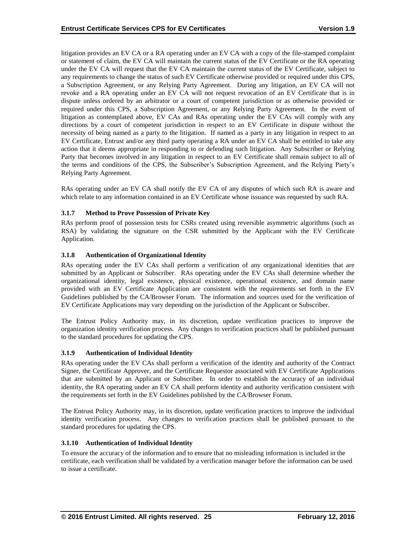litigation provides an EV CA or a RA operating under an EV CA with a copy of the file-stamped complaint or statement of claim, the EV CA will maintain the current status of the EV Certificate or the RA operating under the EV CA will request that the EV CA maintain the current status of the EV Certificate, subject to any requirements to change the status of such EV Certificate otherwise provided or required under this CPS, a Subscription Agreement, or any Relying Party Agreement. During any litigation, an EV CA will not revoke and a RA operating under an EV CA will not request revocation of an EV Certificate that is in dispute unless ordered by an arbitrator or a court of competent jurisdiction or as otherwise provided or required under this CPS, a Subscription Agreement, or any Relying Party Agreement. In the event of litigation as contemplated above, EV CAs and RAs operating under the EV CAs will comply with any directions by a court of competent jurisdiction in respect to an EV Certificate in dispute without the necessity of being named as a party to the litigation. If named as a party in any litigation in respect to an EV Certificate, Entrust and/or any third party operating a RA under an EV CA shall be entitled to take any action that it deems appropriate in responding to or defending such litigation. Any Subscriber or Relying Party that becomes involved in any litigation in respect to an EV Certificate shall remain subject to all of the terms and conditions of the CPS, the Subscriber's Subscription Agreement, and the Relying Party's Relying Party Agreement.

RAs operating under an EV CA shall notify the EV CA of any disputes of which such RA is aware and which relate to any information contained in an EV Certificate whose issuance was requested by such RA.

# **3.1.7 Method to Prove Possession of Private Key**

RAs perform proof of possession tests for CSRs created using reversible asymmetric algorithms (such as RSA) by validating the signature on the CSR submitted by the Applicant with the EV Certificate Application.

#### **3.1.8 Authentication of Organizational Identity**

RAs operating under the EV CAs shall perform a verification of any organizational identities that are submitted by an Applicant or Subscriber. RAs operating under the EV CAs shall determine whether the organizational identity, legal existence, physical existence, operational existence, and domain name provided with an EV Certificate Application are consistent with the requirements set forth in the EV Guidelines published by the CA/Browser Forum. The information and sources used for the verification of EV Certificate Applications may vary depending on the jurisdiction of the Applicant or Subscriber.

The Entrust Policy Authority may, in its discretion, update verification practices to improve the organization identity verification process. Any changes to verification practices shall be published pursuant to the standard procedures for updating the CPS.

#### **3.1.9 Authentication of Individual Identity**

RAs operating under the EV CAs shall perform a verification of the identity and authority of the Contract Signer, the Certificate Approver, and the Certificate Requestor associated with EV Certificate Applications that are submitted by an Applicant or Subscriber. In order to establish the accuracy of an individual identity, the RA operating under an EV CA shall perform identity and authority verification consistent with the requirements set forth in the EV Guidelines published by the CA/Browser Forum.

The Entrust Policy Authority may, in its discretion, update verification practices to improve the individual identity verification process. Any changes to verification practices shall be published pursuant to the standard procedures for updating the CPS.

#### **3.1.10 Authentication of Individual Identity**

To ensure the accuracy of the information and to ensure that no misleading information is included in the certificate, each verification shall be validated by a verification manager before the information can be used to issue a certificate.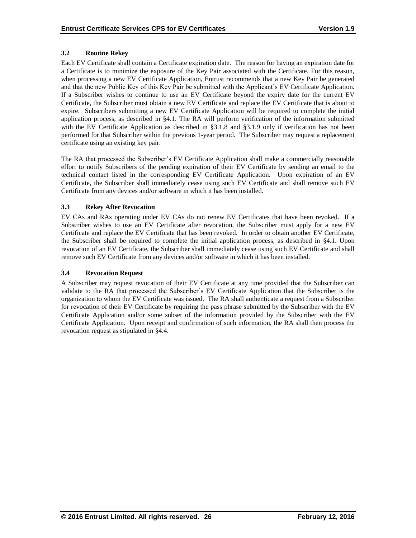# **3.2 Routine Rekey**

Each EV Certificate shall contain a Certificate expiration date. The reason for having an expiration date for a Certificate is to minimize the exposure of the Key Pair associated with the Certificate. For this reason, when processing a new EV Certificate Application, Entrust recommends that a new Key Pair be generated and that the new Public Key of this Key Pair be submitted with the Applicant's EV Certificate Application. If a Subscriber wishes to continue to use an EV Certificate beyond the expiry date for the current EV Certificate, the Subscriber must obtain a new EV Certificate and replace the EV Certificate that is about to expire. Subscribers submitting a new EV Certificate Application will be required to complete the initial application process, as described in §4.1. The RA will perform verification of the information submitted with the EV Certificate Application as described in §3.1.8 and §3.1.9 only if verification has not been performed for that Subscriber within the previous 1-year period. The Subscriber may request a replacement certificate using an existing key pair.

The RA that processed the Subscriber's EV Certificate Application shall make a commercially reasonable effort to notify Subscribers of the pending expiration of their EV Certificate by sending an email to the technical contact listed in the corresponding EV Certificate Application. Upon expiration of an EV Certificate, the Subscriber shall immediately cease using such EV Certificate and shall remove such EV Certificate from any devices and/or software in which it has been installed.

## **3.3 Rekey After Revocation**

EV CAs and RAs operating under EV CAs do not renew EV Certificates that have been revoked. If a Subscriber wishes to use an EV Certificate after revocation, the Subscriber must apply for a new EV Certificate and replace the EV Certificate that has been revoked. In order to obtain another EV Certificate, the Subscriber shall be required to complete the initial application process, as described in §4.1. Upon revocation of an EV Certificate, the Subscriber shall immediately cease using such EV Certificate and shall remove such EV Certificate from any devices and/or software in which it has been installed.

## **3.4 Revocation Request**

A Subscriber may request revocation of their EV Certificate at any time provided that the Subscriber can validate to the RA that processed the Subscriber's EV Certificate Application that the Subscriber is the organization to whom the EV Certificate was issued. The RA shall authenticate a request from a Subscriber for revocation of their EV Certificate by requiring the pass phrase submitted by the Subscriber with the EV Certificate Application and/or some subset of the information provided by the Subscriber with the EV Certificate Application. Upon receipt and confirmation of such information, the RA shall then process the revocation request as stipulated in §4.4.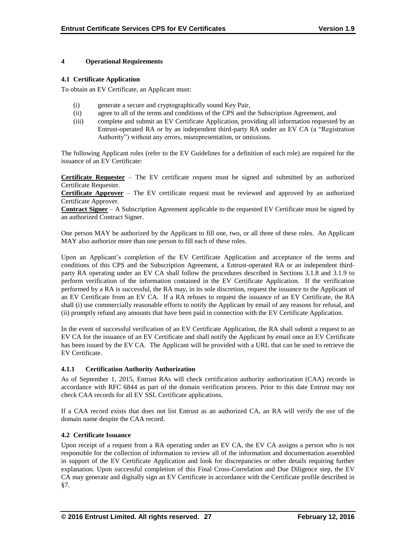## **4 Operational Requirements**

#### **4.1 Certificate Application**

To obtain an EV Certificate, an Applicant must:

- (i) generate a secure and cryptographically sound Key Pair,
- (ii) agree to all of the terms and conditions of the CPS and the Subscription Agreement, and
- (iii) complete and submit an EV Certificate Application, providing all information requested by an Entrust-operated RA or by an independent third-party RA under an EV CA (a "Registration Authority") without any errors, misrepresentation, or omissions.

The following Applicant roles (refer to the EV Guidelines for a definition of each role) are required for the issuance of an EV Certificate:

**Certificate Requester** – The EV certificate request must be signed and submitted by an authorized Certificate Requester.

**Certificate Approver** – The EV certificate request must be reviewed and approved by an authorized Certificate Approver.

**Contract Signer** – A Subscription Agreement applicable to the requested EV Certificate must be signed by an authorized Contract Signer.

One person MAY be authorized by the Applicant to fill one, two, or all three of these roles. An Applicant MAY also authorize more than one person to fill each of these roles.

Upon an Applicant's completion of the EV Certificate Application and acceptance of the terms and conditions of this CPS and the Subscription Agreement, a Entrust-operated RA or an independent thirdparty RA operating under an EV CA shall follow the procedures described in Sections 3.1.8 and 3.1.9 to perform verification of the information contained in the EV Certificate Application. If the verification performed by a RA is successful, the RA may, in its sole discretion, request the issuance to the Applicant of an EV Certificate from an EV CA. If a RA refuses to request the issuance of an EV Certificate, the RA shall (i) use commercially reasonable efforts to notify the Applicant by email of any reasons for refusal, and (ii) promptly refund any amounts that have been paid in connection with the EV Certificate Application.

In the event of successful verification of an EV Certificate Application, the RA shall submit a request to an EV CA for the issuance of an EV Certificate and shall notify the Applicant by email once an EV Certificate has been issued by the EV CA. The Applicant will be provided with a URL that can be used to retrieve the EV Certificate.

# **4.1.1 Certification Authority Authorization**

As of September 1, 2015, Entrust RAs will check certification authority authorization (CAA) records in accordance with RFC 6844 as part of the domain verification process. Prior to this date Entrust may not check CAA records for all EV SSL Certificate applications.

If a CAA record exists that does not list Entrust as an authorized CA, an RA will verify the use of the domain name despite the CAA record.

# **4.2 Certificate Issuance**

Upon receipt of a request from a RA operating under an EV CA, the EV CA assigns a person who is not responsible for the collection of information to review all of the information and documentation assembled in support of the EV Certificate Application and look for discrepancies or other details requiring further explanation. Upon successful completion of this Final Cross-Correlation and Due Diligence step, the EV CA may generate and digitally sign an EV Certificate in accordance with the Certificate profile described in §7.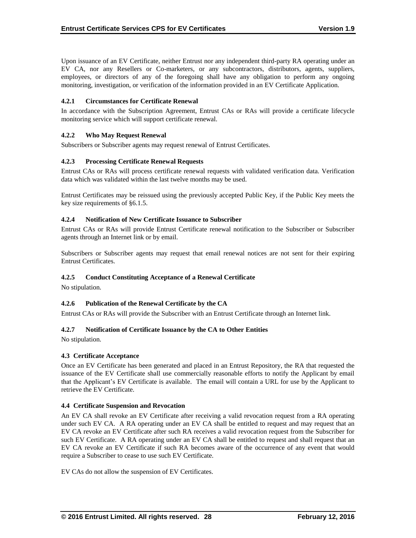Upon issuance of an EV Certificate, neither Entrust nor any independent third-party RA operating under an EV CA, nor any Resellers or Co-marketers, or any subcontractors, distributors, agents, suppliers, employees, or directors of any of the foregoing shall have any obligation to perform any ongoing monitoring, investigation, or verification of the information provided in an EV Certificate Application.

# **4.2.1 Circumstances for Certificate Renewal**

In accordance with the Subscription Agreement, Entrust CAs or RAs will provide a certificate lifecycle monitoring service which will support certificate renewal.

## **4.2.2 Who May Request Renewal**

Subscribers or Subscriber agents may request renewal of Entrust Certificates.

## **4.2.3 Processing Certificate Renewal Requests**

Entrust CAs or RAs will process certificate renewal requests with validated verification data. Verification data which was validated within the last twelve months may be used.

Entrust Certificates may be reissued using the previously accepted Public Key, if the Public Key meets the key size requirements of §6.1.5.

#### **4.2.4 Notification of New Certificate Issuance to Subscriber**

Entrust CAs or RAs will provide Entrust Certificate renewal notification to the Subscriber or Subscriber agents through an Internet link or by email.

Subscribers or Subscriber agents may request that email renewal notices are not sent for their expiring Entrust Certificates.

#### **4.2.5 Conduct Constituting Acceptance of a Renewal Certificate**

No stipulation.

# **4.2.6 Publication of the Renewal Certificate by the CA**

Entrust CAs or RAs will provide the Subscriber with an Entrust Certificate through an Internet link.

#### **4.2.7 Notification of Certificate Issuance by the CA to Other Entities**

No stipulation.

#### **4.3 Certificate Acceptance**

Once an EV Certificate has been generated and placed in an Entrust Repository, the RA that requested the issuance of the EV Certificate shall use commercially reasonable efforts to notify the Applicant by email that the Applicant's EV Certificate is available. The email will contain a URL for use by the Applicant to retrieve the EV Certificate.

#### **4.4 Certificate Suspension and Revocation**

An EV CA shall revoke an EV Certificate after receiving a valid revocation request from a RA operating under such EV CA. A RA operating under an EV CA shall be entitled to request and may request that an EV CA revoke an EV Certificate after such RA receives a valid revocation request from the Subscriber for such EV Certificate. A RA operating under an EV CA shall be entitled to request and shall request that an EV CA revoke an EV Certificate if such RA becomes aware of the occurrence of any event that would require a Subscriber to cease to use such EV Certificate.

EV CAs do not allow the suspension of EV Certificates.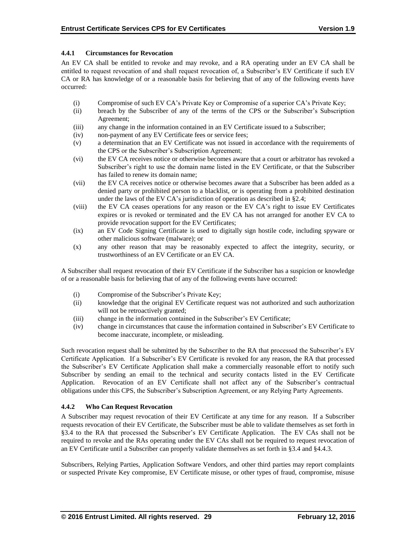# **4.4.1 Circumstances for Revocation**

An EV CA shall be entitled to revoke and may revoke, and a RA operating under an EV CA shall be entitled to request revocation of and shall request revocation of, a Subscriber's EV Certificate if such EV CA or RA has knowledge of or a reasonable basis for believing that of any of the following events have occurred:

- (i) Compromise of such EV CA's Private Key or Compromise of a superior CA's Private Key;
- (ii) breach by the Subscriber of any of the terms of the CPS or the Subscriber's Subscription Agreement;
- (iii) any change in the information contained in an EV Certificate issued to a Subscriber;
- (iv) non-payment of any EV Certificate fees or service fees;
- (v) a determination that an EV Certificate was not issued in accordance with the requirements of the CPS or the Subscriber's Subscription Agreement;
- (vi) the EV CA receives notice or otherwise becomes aware that a court or arbitrator has revoked a Subscriber's right to use the domain name listed in the EV Certificate, or that the Subscriber has failed to renew its domain name;
- (vii) the EV CA receives notice or otherwise becomes aware that a Subscriber has been added as a denied party or prohibited person to a blacklist, or is operating from a prohibited destination under the laws of the EV CA's jurisdiction of operation as described in §2.4;
- (viii) the EV CA ceases operations for any reason or the EV CA's right to issue EV Certificates expires or is revoked or terminated and the EV CA has not arranged for another EV CA to provide revocation support for the EV Certificates;
- (ix) an EV Code Signing Certificate is used to digitally sign hostile code, including spyware or other malicious software (malware); or
- (x) any other reason that may be reasonably expected to affect the integrity, security, or trustworthiness of an EV Certificate or an EV CA.

A Subscriber shall request revocation of their EV Certificate if the Subscriber has a suspicion or knowledge of or a reasonable basis for believing that of any of the following events have occurred:

- (i) Compromise of the Subscriber's Private Key;
- (ii) knowledge that the original EV Certificate request was not authorized and such authorization will not be retroactively granted;
- (iii) change in the information contained in the Subscriber's EV Certificate;
- (iv) change in circumstances that cause the information contained in Subscriber's EV Certificate to become inaccurate, incomplete, or misleading.

Such revocation request shall be submitted by the Subscriber to the RA that processed the Subscriber's EV Certificate Application. If a Subscriber's EV Certificate is revoked for any reason, the RA that processed the Subscriber's EV Certificate Application shall make a commercially reasonable effort to notify such Subscriber by sending an email to the technical and security contacts listed in the EV Certificate Application. Revocation of an EV Certificate shall not affect any of the Subscriber's contractual obligations under this CPS, the Subscriber's Subscription Agreement, or any Relying Party Agreements.

# **4.4.2 Who Can Request Revocation**

A Subscriber may request revocation of their EV Certificate at any time for any reason. If a Subscriber requests revocation of their EV Certificate, the Subscriber must be able to validate themselves as set forth in §3.4 to the RA that processed the Subscriber's EV Certificate Application. The EV CAs shall not be required to revoke and the RAs operating under the EV CAs shall not be required to request revocation of an EV Certificate until a Subscriber can properly validate themselves as set forth in §3.4 and §4.4.3.

Subscribers, Relying Parties, Application Software Vendors, and other third parties may report complaints or suspected Private Key compromise, EV Certificate misuse, or other types of fraud, compromise, misuse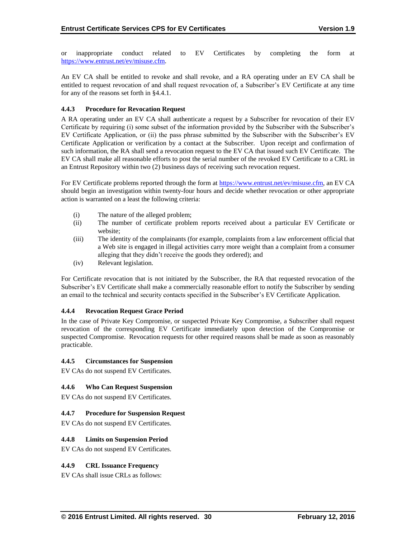or inappropriate conduct related to EV Certificates by completing the form at [https://www.entrust.net/ev/misuse.cfm.](https://www.entrust.net/ev/misuse.cfm)

An EV CA shall be entitled to revoke and shall revoke, and a RA operating under an EV CA shall be entitled to request revocation of and shall request revocation of, a Subscriber's EV Certificate at any time for any of the reasons set forth in §4.4.1.

### **4.4.3 Procedure for Revocation Request**

A RA operating under an EV CA shall authenticate a request by a Subscriber for revocation of their EV Certificate by requiring (i) some subset of the information provided by the Subscriber with the Subscriber's EV Certificate Application, or (ii) the pass phrase submitted by the Subscriber with the Subscriber's EV Certificate Application or verification by a contact at the Subscriber. Upon receipt and confirmation of such information, the RA shall send a revocation request to the EV CA that issued such EV Certificate. The EV CA shall make all reasonable efforts to post the serial number of the revoked EV Certificate to a CRL in an Entrust Repository within two (2) business days of receiving such revocation request.

For EV Certificate problems reported through the form at [https://www.entrust.net/ev/misuse.cfm,](https://www.entrust.net/ev/misuse.cfm) an EV CA should begin an investigation within twenty-four hours and decide whether revocation or other appropriate action is warranted on a least the following criteria:

- (i) The nature of the alleged problem;
- (ii) The number of certificate problem reports received about a particular EV Certificate or website;
- (iii) The identity of the complainants (for example, complaints from a law enforcement official that a Web site is engaged in illegal activities carry more weight than a complaint from a consumer alleging that they didn't receive the goods they ordered); and
- (iv) Relevant legislation.

For Certificate revocation that is not initiated by the Subscriber, the RA that requested revocation of the Subscriber's EV Certificate shall make a commercially reasonable effort to notify the Subscriber by sending an email to the technical and security contacts specified in the Subscriber's EV Certificate Application.

#### **4.4.4 Revocation Request Grace Period**

In the case of Private Key Compromise, or suspected Private Key Compromise, a Subscriber shall request revocation of the corresponding EV Certificate immediately upon detection of the Compromise or suspected Compromise. Revocation requests for other required reasons shall be made as soon as reasonably practicable.

#### **4.4.5 Circumstances for Suspension**

EV CAs do not suspend EV Certificates.

#### **4.4.6 Who Can Request Suspension**

EV CAs do not suspend EV Certificates.

#### **4.4.7 Procedure for Suspension Request**

EV CAs do not suspend EV Certificates.

# **4.4.8 Limits on Suspension Period**

EV CAs do not suspend EV Certificates.

# **4.4.9 CRL Issuance Frequency**

EV CAs shall issue CRLs as follows: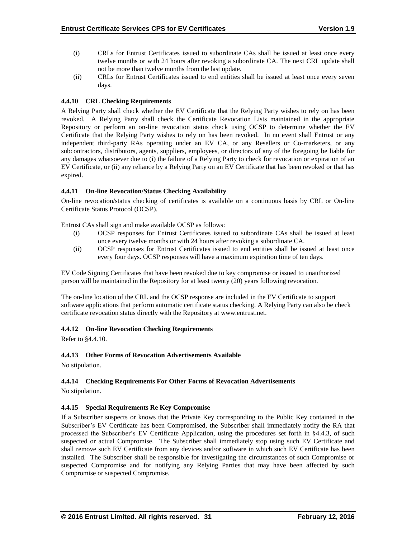- (i) CRLs for Entrust Certificates issued to subordinate CAs shall be issued at least once every twelve months or with 24 hours after revoking a subordinate CA. The next CRL update shall not be more than twelve months from the last update.
- (ii) CRLs for Entrust Certificates issued to end entities shall be issued at least once every seven days.

# **4.4.10 CRL Checking Requirements**

A Relying Party shall check whether the EV Certificate that the Relying Party wishes to rely on has been revoked. A Relying Party shall check the Certificate Revocation Lists maintained in the appropriate Repository or perform an on-line revocation status check using OCSP to determine whether the EV Certificate that the Relying Party wishes to rely on has been revoked. In no event shall Entrust or any independent third-party RAs operating under an EV CA, or any Resellers or Co-marketers, or any subcontractors, distributors, agents, suppliers, employees, or directors of any of the foregoing be liable for any damages whatsoever due to (i) the failure of a Relying Party to check for revocation or expiration of an EV Certificate, or (ii) any reliance by a Relying Party on an EV Certificate that has been revoked or that has expired.

## **4.4.11 On-line Revocation/Status Checking Availability**

On-line revocation/status checking of certificates is available on a continuous basis by CRL or On-line Certificate Status Protocol (OCSP).

Entrust CAs shall sign and make available OCSP as follows:

- (i) OCSP responses for Entrust Certificates issued to subordinate CAs shall be issued at least once every twelve months or with 24 hours after revoking a subordinate CA.
- (ii) OCSP responses for Entrust Certificates issued to end entities shall be issued at least once every four days. OCSP responses will have a maximum expiration time of ten days.

EV Code Signing Certificates that have been revoked due to key compromise or issued to unauthorized person will be maintained in the Repository for at least twenty (20) years following revocation.

The on-line location of the CRL and the OCSP response are included in the EV Certificate to support software applications that perform automatic certificate status checking. A Relying Party can also be check certificate revocation status directly with the Repository at www.entrust.net.

# **4.4.12 On-line Revocation Checking Requirements**

Refer to §4.4.10.

#### **4.4.13 Other Forms of Revocation Advertisements Available**

No stipulation.

# **4.4.14 Checking Requirements For Other Forms of Revocation Advertisements**

No stipulation.

#### **4.4.15 Special Requirements Re Key Compromise**

If a Subscriber suspects or knows that the Private Key corresponding to the Public Key contained in the Subscriber's EV Certificate has been Compromised, the Subscriber shall immediately notify the RA that processed the Subscriber's EV Certificate Application, using the procedures set forth in §4.4.3, of such suspected or actual Compromise. The Subscriber shall immediately stop using such EV Certificate and shall remove such EV Certificate from any devices and/or software in which such EV Certificate has been installed. The Subscriber shall be responsible for investigating the circumstances of such Compromise or suspected Compromise and for notifying any Relying Parties that may have been affected by such Compromise or suspected Compromise.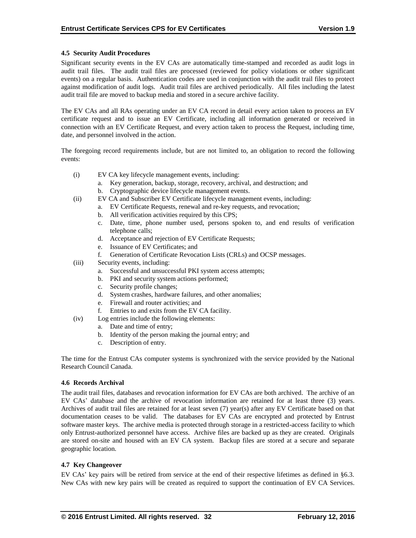## **4.5 Security Audit Procedures**

Significant security events in the EV CAs are automatically time-stamped and recorded as audit logs in audit trail files. The audit trail files are processed (reviewed for policy violations or other significant events) on a regular basis. Authentication codes are used in conjunction with the audit trail files to protect against modification of audit logs. Audit trail files are archived periodically. All files including the latest audit trail file are moved to backup media and stored in a secure archive facility.

The EV CAs and all RAs operating under an EV CA record in detail every action taken to process an EV certificate request and to issue an EV Certificate, including all information generated or received in connection with an EV Certificate Request, and every action taken to process the Request, including time, date, and personnel involved in the action.

The foregoing record requirements include, but are not limited to, an obligation to record the following events:

- (i) EV CA key lifecycle management events, including:
	- a. Key generation, backup, storage, recovery, archival, and destruction; and
	- b. Cryptographic device lifecycle management events.
- (ii) EV CA and Subscriber EV Certificate lifecycle management events, including:
	- a. EV Certificate Requests, renewal and re-key requests, and revocation;
	- b. All verification activities required by this CPS;
	- c. Date, time, phone number used, persons spoken to, and end results of verification telephone calls;
	- d. Acceptance and rejection of EV Certificate Requests;
	- e. Issuance of EV Certificates; and
	- f. Generation of Certificate Revocation Lists (CRLs) and OCSP messages.
- (iii) Security events, including:
	- a. Successful and unsuccessful PKI system access attempts;
	- b. PKI and security system actions performed;
	- c. Security profile changes;
	- d. System crashes, hardware failures, and other anomalies;
	- e. Firewall and router activities; and
	- f. Entries to and exits from the EV CA facility.
- (iv) Log entries include the following elements:
	- a. Date and time of entry;
	- b. Identity of the person making the journal entry; and
	- c. Description of entry.

The time for the Entrust CAs computer systems is synchronized with the service provided by the National Research Council Canada.

#### **4.6 Records Archival**

The audit trail files, databases and revocation information for EV CAs are both archived. The archive of an EV CAs' database and the archive of revocation information are retained for at least three (3) years. Archives of audit trail files are retained for at least seven (7) year(s) after any EV Certificate based on that documentation ceases to be valid. The databases for EV CAs are encrypted and protected by Entrust software master keys. The archive media is protected through storage in a restricted-access facility to which only Entrust-authorized personnel have access. Archive files are backed up as they are created. Originals are stored on-site and housed with an EV CA system. Backup files are stored at a secure and separate geographic location.

# **4.7 Key Changeover**

EV CAs' key pairs will be retired from service at the end of their respective lifetimes as defined in §6.3. New CAs with new key pairs will be created as required to support the continuation of EV CA Services.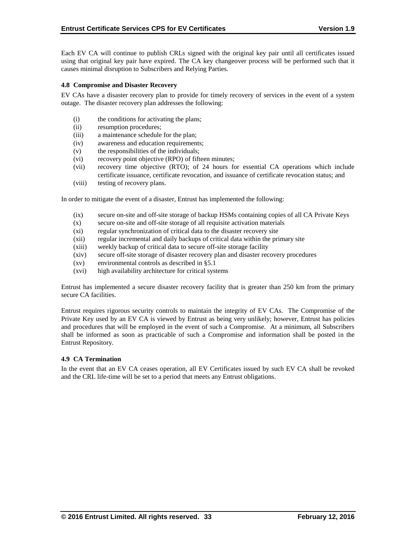Each EV CA will continue to publish CRLs signed with the original key pair until all certificates issued using that original key pair have expired. The CA key changeover process will be performed such that it causes minimal disruption to Subscribers and Relying Parties.

#### **4.8 Compromise and Disaster Recovery**

EV CAs have a disaster recovery plan to provide for timely recovery of services in the event of a system outage. The disaster recovery plan addresses the following:

- (i) the conditions for activating the plans;
- (ii) resumption procedures;
- (iii) a maintenance schedule for the plan;
- (iv) awareness and education requirements;
- (v) the responsibilities of the individuals;
- (vi) recovery point objective (RPO) of fifteen minutes;
- (vii) recovery time objective (RTO); of 24 hours for essential CA operations which include certificate issuance, certificate revocation, and issuance of certificate revocation status; and
- (viii) testing of recovery plans.

In order to mitigate the event of a disaster, Entrust has implemented the following:

- (ix) secure on-site and off-site storage of backup HSMs containing copies of all CA Private Keys
- (x) secure on-site and off-site storage of all requisite activation materials
- (xi) regular synchronization of critical data to the disaster recovery site
- (xii) regular incremental and daily backups of critical data within the primary site
- (xiii) weekly backup of critical data to secure off-site storage facility
- (xiv) secure off-site storage of disaster recovery plan and disaster recovery procedures
- (xv) environmental controls as described in §5.1
- (xvi) high availability architecture for critical systems

Entrust has implemented a secure disaster recovery facility that is greater than 250 km from the primary secure CA facilities.

Entrust requires rigorous security controls to maintain the integrity of EV CAs. The Compromise of the Private Key used by an EV CA is viewed by Entrust as being very unlikely; however, Entrust has policies and procedures that will be employed in the event of such a Compromise. At a minimum, all Subscribers shall be informed as soon as practicable of such a Compromise and information shall be posted in the Entrust Repository.

#### **4.9 CA Termination**

In the event that an EV CA ceases operation, all EV Certificates issued by such EV CA shall be revoked and the CRL life-time will be set to a period that meets any Entrust obligations.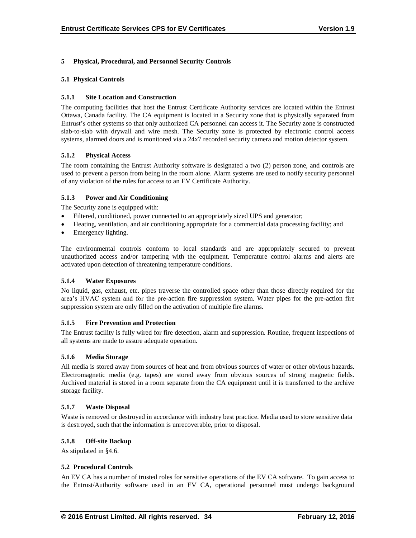# **5 Physical, Procedural, and Personnel Security Controls**

## **5.1 Physical Controls**

## **5.1.1 Site Location and Construction**

The computing facilities that host the Entrust Certificate Authority services are located within the Entrust Ottawa, Canada facility. The CA equipment is located in a Security zone that is physically separated from Entrust's other systems so that only authorized CA personnel can access it. The Security zone is constructed slab-to-slab with drywall and wire mesh. The Security zone is protected by electronic control access systems, alarmed doors and is monitored via a 24x7 recorded security camera and motion detector system.

## **5.1.2 Physical Access**

The room containing the Entrust Authority software is designated a two (2) person zone, and controls are used to prevent a person from being in the room alone. Alarm systems are used to notify security personnel of any violation of the rules for access to an EV Certificate Authority.

## **5.1.3 Power and Air Conditioning**

The Security zone is equipped with:

- Filtered, conditioned, power connected to an appropriately sized UPS and generator;
- Heating, ventilation, and air conditioning appropriate for a commercial data processing facility; and
- Emergency lighting.

The environmental controls conform to local standards and are appropriately secured to prevent unauthorized access and/or tampering with the equipment. Temperature control alarms and alerts are activated upon detection of threatening temperature conditions.

#### **5.1.4 Water Exposures**

No liquid, gas, exhaust, etc. pipes traverse the controlled space other than those directly required for the area's HVAC system and for the pre-action fire suppression system. Water pipes for the pre-action fire suppression system are only filled on the activation of multiple fire alarms.

# **5.1.5 Fire Prevention and Protection**

The Entrust facility is fully wired for fire detection, alarm and suppression. Routine, frequent inspections of all systems are made to assure adequate operation.

#### **5.1.6 Media Storage**

All media is stored away from sources of heat and from obvious sources of water or other obvious hazards. Electromagnetic media (e.g. tapes) are stored away from obvious sources of strong magnetic fields. Archived material is stored in a room separate from the CA equipment until it is transferred to the archive storage facility.

#### **5.1.7 Waste Disposal**

Waste is removed or destroyed in accordance with industry best practice. Media used to store sensitive data is destroyed, such that the information is unrecoverable, prior to disposal.

# **5.1.8 Off-site Backup**

As stipulated in §4.6.

#### **5.2 Procedural Controls**

An EV CA has a number of trusted roles for sensitive operations of the EV CA software. To gain access to the Entrust/Authority software used in an EV CA, operational personnel must undergo background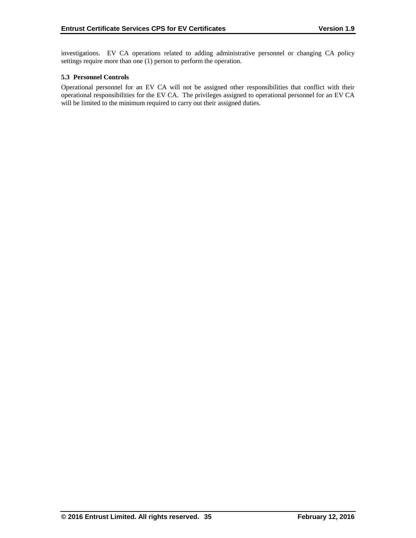investigations. EV CA operations related to adding administrative personnel or changing CA policy settings require more than one (1) person to perform the operation.

### **5.3 Personnel Controls**

Operational personnel for an EV CA will not be assigned other responsibilities that conflict with their operational responsibilities for the EV CA. The privileges assigned to operational personnel for an EV CA will be limited to the minimum required to carry out their assigned duties.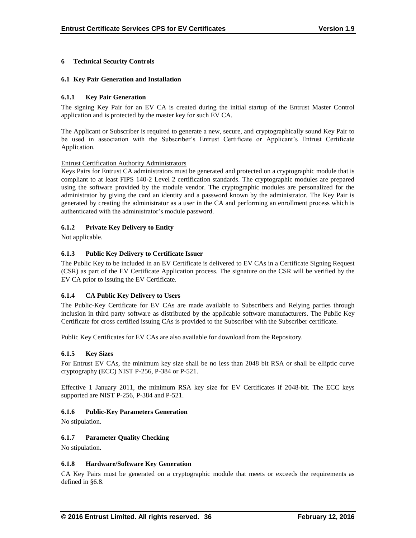# **6 Technical Security Controls**

### **6.1 Key Pair Generation and Installation**

## **6.1.1 Key Pair Generation**

The signing Key Pair for an EV CA is created during the initial startup of the Entrust Master Control application and is protected by the master key for such EV CA.

The Applicant or Subscriber is required to generate a new, secure, and cryptographically sound Key Pair to be used in association with the Subscriber's Entrust Certificate or Applicant's Entrust Certificate Application.

#### Entrust Certification Authority Administrators

Keys Pairs for Entrust CA administrators must be generated and protected on a cryptographic module that is compliant to at least FIPS 140-2 Level 2 certification standards. The cryptographic modules are prepared using the software provided by the module vendor. The cryptographic modules are personalized for the administrator by giving the card an identity and a password known by the administrator. The Key Pair is generated by creating the administrator as a user in the CA and performing an enrollment process which is authenticated with the administrator's module password.

# **6.1.2 Private Key Delivery to Entity**

Not applicable.

# **6.1.3 Public Key Delivery to Certificate Issuer**

The Public Key to be included in an EV Certificate is delivered to EV CAs in a Certificate Signing Request (CSR) as part of the EV Certificate Application process. The signature on the CSR will be verified by the EV CA prior to issuing the EV Certificate.

# **6.1.4 CA Public Key Delivery to Users**

The Public-Key Certificate for EV CAs are made available to Subscribers and Relying parties through inclusion in third party software as distributed by the applicable software manufacturers. The Public Key Certificate for cross certified issuing CAs is provided to the Subscriber with the Subscriber certificate.

Public Key Certificates for EV CAs are also available for download from the Repository.

#### **6.1.5 Key Sizes**

For Entrust EV CAs, the minimum key size shall be no less than 2048 bit RSA or shall be elliptic curve cryptography (ECC) NIST P-256, P-384 or P-521.

Effective 1 January 2011, the minimum RSA key size for EV Certificates if 2048-bit. The ECC keys supported are NIST P-256, P-384 and P-521.

#### **6.1.6 Public-Key Parameters Generation**

No stipulation.

#### **6.1.7 Parameter Quality Checking**

No stipulation.

#### **6.1.8 Hardware/Software Key Generation**

CA Key Pairs must be generated on a cryptographic module that meets or exceeds the requirements as defined in §6.8.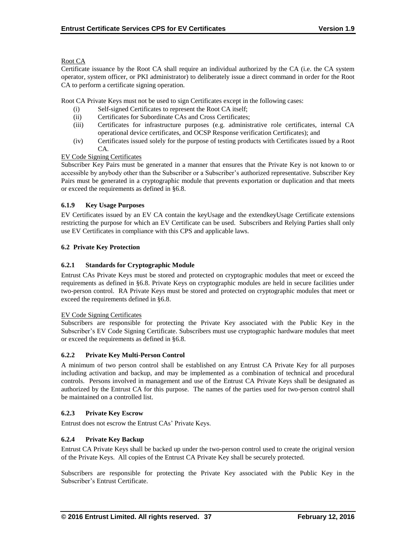## Root CA

Certificate issuance by the Root CA shall require an individual authorized by the CA (i.e. the CA system operator, system officer, or PKI administrator) to deliberately issue a direct command in order for the Root CA to perform a certificate signing operation.

Root CA Private Keys must not be used to sign Certificates except in the following cases:

- (i) Self-signed Certificates to represent the Root CA itself;
- (ii) Certificates for Subordinate CAs and Cross Certificates;
- (iii) Certificates for infrastructure purposes (e.g. administrative role certificates, internal CA operational device certificates, and OCSP Response verification Certificates); and
- (iv) Certificates issued solely for the purpose of testing products with Certificates issued by a Root CA.

# EV Code Signing Certificates

Subscriber Key Pairs must be generated in a manner that ensures that the Private Key is not known to or accessible by anybody other than the Subscriber or a Subscriber's authorized representative. Subscriber Key Pairs must be generated in a cryptographic module that prevents exportation or duplication and that meets or exceed the requirements as defined in §6.8.

## **6.1.9 Key Usage Purposes**

EV Certificates issued by an EV CA contain the keyUsage and the extendkeyUsage Certificate extensions restricting the purpose for which an EV Certificate can be used. Subscribers and Relying Parties shall only use EV Certificates in compliance with this CPS and applicable laws.

## **6.2 Private Key Protection**

### **6.2.1 Standards for Cryptographic Module**

Entrust CAs Private Keys must be stored and protected on cryptographic modules that meet or exceed the requirements as defined in §6.8. Private Keys on cryptographic modules are held in secure facilities under two-person control. RA Private Keys must be stored and protected on cryptographic modules that meet or exceed the requirements defined in §6.8.

#### EV Code Signing Certificates

Subscribers are responsible for protecting the Private Key associated with the Public Key in the Subscriber's EV Code Signing Certificate. Subscribers must use cryptographic hardware modules that meet or exceed the requirements as defined in §6.8.

#### **6.2.2 Private Key Multi-Person Control**

A minimum of two person control shall be established on any Entrust CA Private Key for all purposes including activation and backup, and may be implemented as a combination of technical and procedural controls. Persons involved in management and use of the Entrust CA Private Keys shall be designated as authorized by the Entrust CA for this purpose. The names of the parties used for two-person control shall be maintained on a controlled list.

#### **6.2.3 Private Key Escrow**

Entrust does not escrow the Entrust CAs' Private Keys.

# **6.2.4 Private Key Backup**

Entrust CA Private Keys shall be backed up under the two-person control used to create the original version of the Private Keys. All copies of the Entrust CA Private Key shall be securely protected.

Subscribers are responsible for protecting the Private Key associated with the Public Key in the Subscriber's Entrust Certificate.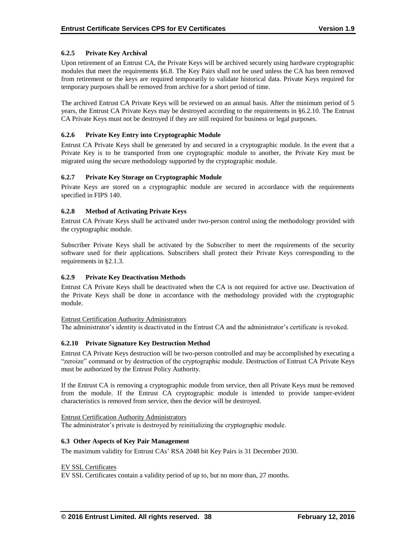# **6.2.5 Private Key Archival**

Upon retirement of an Entrust CA, the Private Keys will be archived securely using hardware cryptographic modules that meet the requirements §6.8. The Key Pairs shall not be used unless the CA has been removed from retirement or the keys are required temporarily to validate historical data. Private Keys required for temporary purposes shall be removed from archive for a short period of time.

The archived Entrust CA Private Keys will be reviewed on an annual basis. After the minimum period of 5 years, the Entrust CA Private Keys may be destroyed according to the requirements in §6.2.10. The Entrust CA Private Keys must not be destroyed if they are still required for business or legal purposes.

## **6.2.6 Private Key Entry into Cryptographic Module**

Entrust CA Private Keys shall be generated by and secured in a cryptographic module. In the event that a Private Key is to be transported from one cryptographic module to another, the Private Key must be migrated using the secure methodology supported by the cryptographic module.

# **6.2.7 Private Key Storage on Cryptographic Module**

Private Keys are stored on a cryptographic module are secured in accordance with the requirements specified in FIPS 140.

## **6.2.8 Method of Activating Private Keys**

Entrust CA Private Keys shall be activated under two-person control using the methodology provided with the cryptographic module.

Subscriber Private Keys shall be activated by the Subscriber to meet the requirements of the security software used for their applications. Subscribers shall protect their Private Keys corresponding to the requirements in §2.1.3.

#### **6.2.9 Private Key Deactivation Methods**

Entrust CA Private Keys shall be deactivated when the CA is not required for active use. Deactivation of the Private Keys shall be done in accordance with the methodology provided with the cryptographic module.

#### Entrust Certification Authority Administrators

The administrator's identity is deactivated in the Entrust CA and the administrator's certificate is revoked.

#### **6.2.10 Private Signature Key Destruction Method**

Entrust CA Private Keys destruction will be two-person controlled and may be accomplished by executing a "zeroize" command or by destruction of the cryptographic module. Destruction of Entrust CA Private Keys must be authorized by the Entrust Policy Authority.

If the Entrust CA is removing a cryptographic module from service, then all Private Keys must be removed from the module. If the Entrust CA cryptographic module is intended to provide tamper-evident characteristics is removed from service, then the device will be destroyed.

#### Entrust Certification Authority Administrators

The administrator's private is destroyed by reinitializing the cryptographic module.

#### **6.3 Other Aspects of Key Pair Management**

The maximum validity for Entrust CAs' RSA 2048 bit Key Pairs is 31 December 2030.

#### EV SSL Certificates

EV SSL Certificates contain a validity period of up to, but no more than, 27 months.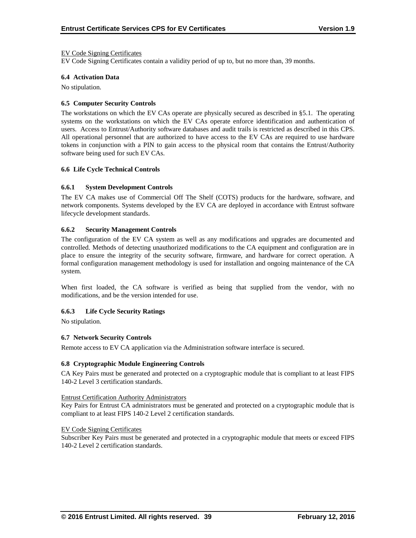#### EV Code Signing Certificates

EV Code Signing Certificates contain a validity period of up to, but no more than, 39 months.

#### **6.4 Activation Data**

No stipulation.

#### **6.5 Computer Security Controls**

The workstations on which the EV CAs operate are physically secured as described in §5.1. The operating systems on the workstations on which the EV CAs operate enforce identification and authentication of users. Access to Entrust/Authority software databases and audit trails is restricted as described in this CPS. All operational personnel that are authorized to have access to the EV CAs are required to use hardware tokens in conjunction with a PIN to gain access to the physical room that contains the Entrust/Authority software being used for such EV CAs.

#### **6.6 Life Cycle Technical Controls**

#### **6.6.1 System Development Controls**

The EV CA makes use of Commercial Off The Shelf (COTS) products for the hardware, software, and network components. Systems developed by the EV CA are deployed in accordance with Entrust software lifecycle development standards.

#### **6.6.2 Security Management Controls**

The configuration of the EV CA system as well as any modifications and upgrades are documented and controlled. Methods of detecting unauthorized modifications to the CA equipment and configuration are in place to ensure the integrity of the security software, firmware, and hardware for correct operation. A formal configuration management methodology is used for installation and ongoing maintenance of the CA system.

When first loaded, the CA software is verified as being that supplied from the vendor, with no modifications, and be the version intended for use.

#### **6.6.3 Life Cycle Security Ratings**

No stipulation.

#### **6.7 Network Security Controls**

Remote access to EV CA application via the Administration software interface is secured.

#### **6.8 Cryptographic Module Engineering Controls**

CA Key Pairs must be generated and protected on a cryptographic module that is compliant to at least FIPS 140-2 Level 3 certification standards.

#### Entrust Certification Authority Administrators

Key Pairs for Entrust CA administrators must be generated and protected on a cryptographic module that is compliant to at least FIPS 140-2 Level 2 certification standards.

#### EV Code Signing Certificates

Subscriber Key Pairs must be generated and protected in a cryptographic module that meets or exceed FIPS 140-2 Level 2 certification standards.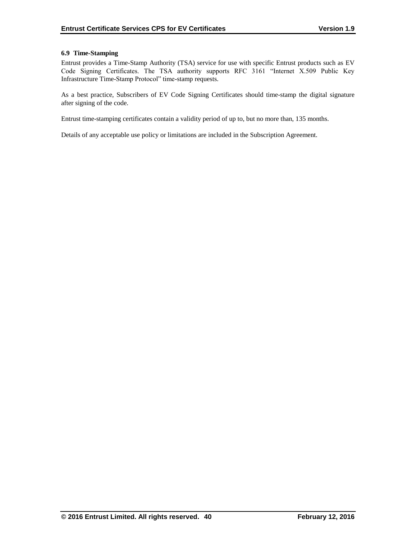## **6.9 Time-Stamping**

Entrust provides a Time-Stamp Authority (TSA) service for use with specific Entrust products such as EV Code Signing Certificates. The TSA authority supports RFC 3161 "Internet X.509 Public Key Infrastructure Time-Stamp Protocol" time-stamp requests.

As a best practice, Subscribers of EV Code Signing Certificates should time-stamp the digital signature after signing of the code.

Entrust time-stamping certificates contain a validity period of up to, but no more than, 135 months.

Details of any acceptable use policy or limitations are included in the Subscription Agreement.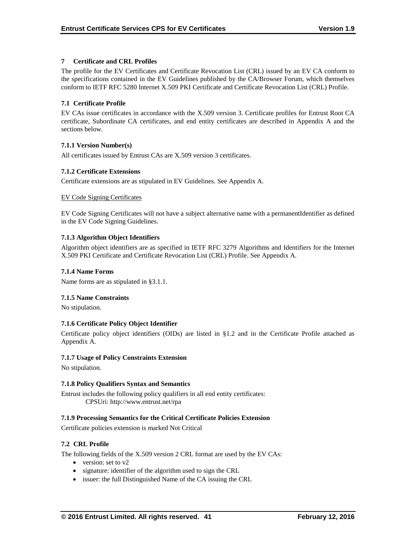## **7 Certificate and CRL Profiles**

The profile for the EV Certificates and Certificate Revocation List (CRL) issued by an EV CA conform to the specifications contained in the EV Guidelines published by the CA/Browser Forum, which themselves conform to IETF RFC 5280 Internet X.509 PKI Certificate and Certificate Revocation List (CRL) Profile.

## **7.1 Certificate Profile**

EV CAs issue certificates in accordance with the X.509 version 3. Certificate profiles for Entrust Root CA certificate, Subordinate CA certificates, and end entity certificates are described in Appendix A and the sections below.

## **7.1.1 Version Number(s)**

All certificates issued by Entrust CAs are X.509 version 3 certificates.

## **7.1.2 Certificate Extensions**

Certificate extensions are as stipulated in EV Guidelines. See Appendix A.

## EV Code Signing Certificates

EV Code Signing Certificates will not have a subject alternative name with a permanentIdentifier as defined in the EV Code Signing Guidelines.

## **7.1.3 Algorithm Object Identifiers**

Algorithm object identifiers are as specified in IETF RFC 3279 Algorithms and Identifiers for the Internet X.509 PKI Certificate and Certificate Revocation List (CRL) Profile. See Appendix A.

### **7.1.4 Name Forms**

Name forms are as stipulated in §3.1.1.

#### **7.1.5 Name Constraints**

No stipulation.

# **7.1.6 Certificate Policy Object Identifier**

Certificate policy object identifiers (OIDs) are listed in §1.2 and in the Certificate Profile attached as Appendix A.

#### **7.1.7 Usage of Policy Constraints Extension**

No stipulation.

#### **7.1.8 Policy Qualifiers Syntax and Semantics**

Entrust includes the following policy qualifiers in all end entity certificates: CPSUri: http://www.entrust.net/rpa

#### **7.1.9 Processing Semantics for the Critical Certificate Policies Extension**

Certificate policies extension is marked Not Critical

#### **7.2 CRL Profile**

The following fields of the X.509 version 2 CRL format are used by the EV CAs:

- version: set to v2
- signature: identifier of the algorithm used to sign the CRL
- issuer: the full Distinguished Name of the CA issuing the CRL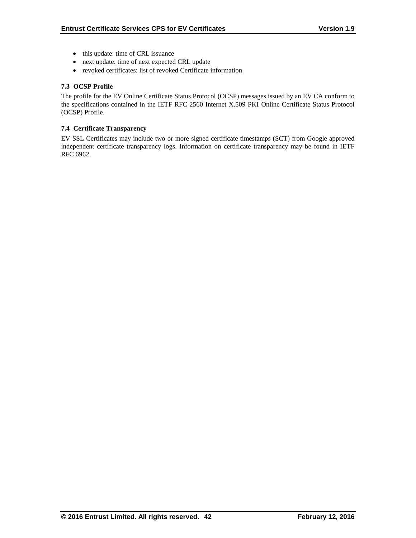- this update: time of CRL issuance
- next update: time of next expected CRL update
- revoked certificates: list of revoked Certificate information

## **7.3 OCSP Profile**

The profile for the EV Online Certificate Status Protocol (OCSP) messages issued by an EV CA conform to the specifications contained in the IETF RFC 2560 Internet X.509 PKI Online Certificate Status Protocol (OCSP) Profile.

### **7.4 Certificate Transparency**

EV SSL Certificates may include two or more signed certificate timestamps (SCT) from Google approved independent certificate transparency logs. Information on certificate transparency may be found in IETF RFC 6962.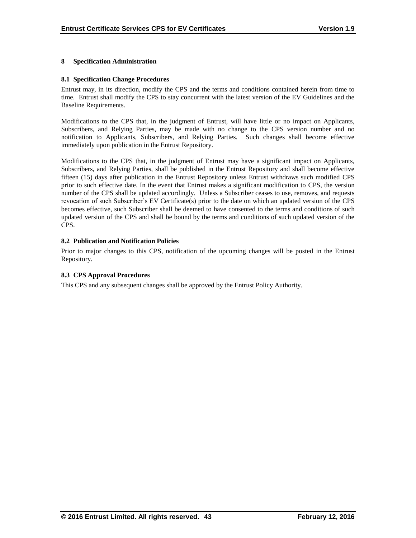#### **8 Specification Administration**

#### **8.1 Specification Change Procedures**

Entrust may, in its direction, modify the CPS and the terms and conditions contained herein from time to time. Entrust shall modify the CPS to stay concurrent with the latest version of the EV Guidelines and the Baseline Requirements.

Modifications to the CPS that, in the judgment of Entrust, will have little or no impact on Applicants, Subscribers, and Relying Parties, may be made with no change to the CPS version number and no notification to Applicants, Subscribers, and Relying Parties. Such changes shall become effective immediately upon publication in the Entrust Repository.

Modifications to the CPS that, in the judgment of Entrust may have a significant impact on Applicants, Subscribers, and Relying Parties, shall be published in the Entrust Repository and shall become effective fifteen (15) days after publication in the Entrust Repository unless Entrust withdraws such modified CPS prior to such effective date. In the event that Entrust makes a significant modification to CPS, the version number of the CPS shall be updated accordingly. Unless a Subscriber ceases to use, removes, and requests revocation of such Subscriber's EV Certificate(s) prior to the date on which an updated version of the CPS becomes effective, such Subscriber shall be deemed to have consented to the terms and conditions of such updated version of the CPS and shall be bound by the terms and conditions of such updated version of the CPS.

#### **8.2 Publication and Notification Policies**

Prior to major changes to this CPS, notification of the upcoming changes will be posted in the Entrust Repository.

#### **8.3 CPS Approval Procedures**

This CPS and any subsequent changes shall be approved by the Entrust Policy Authority.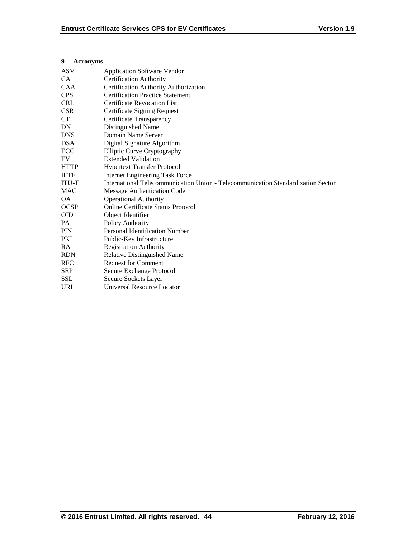## **9 Acronyms**

| <b>ASV</b>   | <b>Application Software Vendor</b>                                               |
|--------------|----------------------------------------------------------------------------------|
| CA.          | <b>Certification Authority</b>                                                   |
| <b>CAA</b>   | Certification Authority Authorization                                            |
| <b>CPS</b>   | <b>Certification Practice Statement</b>                                          |
| <b>CRL</b>   | <b>Certificate Revocation List</b>                                               |
| <b>CSR</b>   | Certificate Signing Request                                                      |
| CT           | Certificate Transparency                                                         |
| DN           | Distinguished Name                                                               |
| <b>DNS</b>   | Domain Name Server                                                               |
| <b>DSA</b>   | Digital Signature Algorithm                                                      |
| ECC          | <b>Elliptic Curve Cryptography</b>                                               |
| EV           | <b>Extended Validation</b>                                                       |
| <b>HTTP</b>  | <b>Hypertext Transfer Protocol</b>                                               |
| <b>IETF</b>  | <b>Internet Engineering Task Force</b>                                           |
| <b>ITU-T</b> | International Telecommunication Union - Telecommunication Standardization Sector |
| <b>MAC</b>   | Message Authentication Code                                                      |
| <b>OA</b>    | <b>Operational Authority</b>                                                     |
| <b>OCSP</b>  | <b>Online Certificate Status Protocol</b>                                        |
| <b>OID</b>   | Object Identifier                                                                |
| PA           | Policy Authority                                                                 |
| PIN          | <b>Personal Identification Number</b>                                            |
| <b>PKI</b>   | Public-Key Infrastructure                                                        |
| RA           | <b>Registration Authority</b>                                                    |
| <b>RDN</b>   | Relative Distinguished Name                                                      |
| <b>RFC</b>   | <b>Request for Comment</b>                                                       |
| <b>SEP</b>   | Secure Exchange Protocol                                                         |
| <b>SSL</b>   | Secure Sockets Layer                                                             |
| <b>URL</b>   | Universal Resource Locator                                                       |
|              |                                                                                  |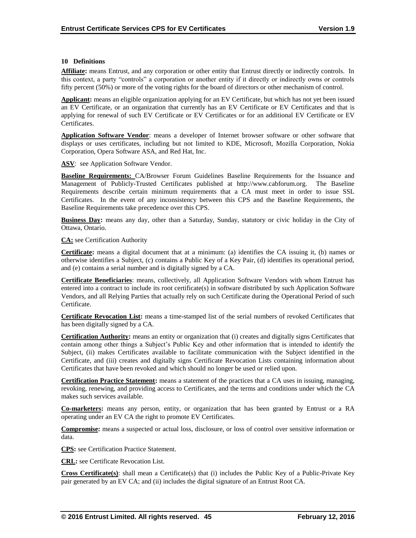### **10 Definitions**

**Affiliate:** means Entrust, and any corporation or other entity that Entrust directly or indirectly controls. In this context, a party "controls" a corporation or another entity if it directly or indirectly owns or controls fifty percent (50%) or more of the voting rights for the board of directors or other mechanism of control.

**Applicant:** means an eligible organization applying for an EV Certificate, but which has not yet been issued an EV Certificate, or an organization that currently has an EV Certificate or EV Certificates and that is applying for renewal of such EV Certificate or EV Certificates or for an additional EV Certificate or EV Certificates.

**Application Software Vendor**: means a developer of Internet browser software or other software that displays or uses certificates, including but not limited to KDE, Microsoft, Mozilla Corporation, Nokia Corporation, Opera Software ASA, and Red Hat, Inc.

**ASV**: see Application Software Vendor.

**Baseline Requirements:** CA/Browser Forum Guidelines Baseline Requirements for the Issuance and Management of Publicly-Trusted Certificates published at http://www.cabforum.org. The Baseline Requirements describe certain minimum requirements that a CA must meet in order to issue SSL Certificates. In the event of any inconsistency between this CPS and the Baseline Requirements, the Baseline Requirements take precedence over this CPS.

**Business Day:** means any day, other than a Saturday, Sunday, statutory or civic holiday in the City of Ottawa, Ontario.

**CA:** see Certification Authority

**Certificate:** means a digital document that at a minimum: (a) identifies the CA issuing it, (b) names or otherwise identifies a Subject, (c) contains a Public Key of a Key Pair, (d) identifies its operational period, and (e) contains a serial number and is digitally signed by a CA.

**Certificate Beneficiaries**: means, collectively, all Application Software Vendors with whom Entrust has entered into a contract to include its root certificate(s) in software distributed by such Application Software Vendors, and all Relying Parties that actually rely on such Certificate during the Operational Period of such Certificate.

**Certificate Revocation List:** means a time-stamped list of the serial numbers of revoked Certificates that has been digitally signed by a CA.

**Certification Authority:** means an entity or organization that (i) creates and digitally signs Certificates that contain among other things a Subject's Public Key and other information that is intended to identify the Subject, (ii) makes Certificates available to facilitate communication with the Subject identified in the Certificate, and (iii) creates and digitally signs Certificate Revocation Lists containing information about Certificates that have been revoked and which should no longer be used or relied upon.

**Certification Practice Statement:** means a statement of the practices that a CA uses in issuing, managing, revoking, renewing, and providing access to Certificates, and the terms and conditions under which the CA makes such services available.

**Co-marketers:** means any person, entity, or organization that has been granted by Entrust or a RA operating under an EV CA the right to promote EV Certificates.

**Compromise:** means a suspected or actual loss, disclosure, or loss of control over sensitive information or data.

**CPS:** see Certification Practice Statement.

**CRL:** see Certificate Revocation List.

**Cross Certificate(s)**: shall mean a Certificate(s) that (i) includes the Public Key of a Public-Private Key pair generated by an EV CA; and (ii) includes the digital signature of an Entrust Root CA.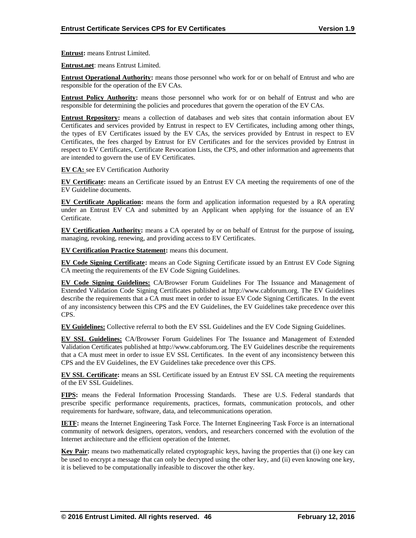**Entrust:** means Entrust Limited.

**Entrust.net**: means Entrust Limited.

**Entrust Operational Authority:** means those personnel who work for or on behalf of Entrust and who are responsible for the operation of the EV CAs.

**Entrust Policy Authority:** means those personnel who work for or on behalf of Entrust and who are responsible for determining the policies and procedures that govern the operation of the EV CAs.

**Entrust Repository:** means a collection of databases and web sites that contain information about EV Certificates and services provided by Entrust in respect to EV Certificates, including among other things, the types of EV Certificates issued by the EV CAs, the services provided by Entrust in respect to EV Certificates, the fees charged by Entrust for EV Certificates and for the services provided by Entrust in respect to EV Certificates, Certificate Revocation Lists, the CPS, and other information and agreements that are intended to govern the use of EV Certificates.

**EV CA:** see EV Certification Authority

**EV Certificate:** means an Certificate issued by an Entrust EV CA meeting the requirements of one of the EV Guideline documents.

**EV Certificate Application:** means the form and application information requested by a RA operating under an Entrust EV CA and submitted by an Applicant when applying for the issuance of an EV Certificate.

**EV Certification Authority:** means a CA operated by or on behalf of Entrust for the purpose of issuing, managing, revoking, renewing, and providing access to EV Certificates.

**EV Certification Practice Statement:** means this document.

**EV Code Signing Certificate:** means an Code Signing Certificate issued by an Entrust EV Code Signing CA meeting the requirements of the EV Code Signing Guidelines.

**EV Code Signing Guidelines:** CA/Browser Forum Guidelines For The Issuance and Management of Extended Validation Code Signing Certificates published at http://www.cabforum.org. The EV Guidelines describe the requirements that a CA must meet in order to issue EV Code Signing Certificates. In the event of any inconsistency between this CPS and the EV Guidelines, the EV Guidelines take precedence over this CPS.

**EV Guidelines:** Collective referral to both the EV SSL Guidelines and the EV Code Signing Guidelines.

**EV SSL Guidelines:** CA/Browser Forum Guidelines For The Issuance and Management of Extended Validation Certificates published at http://www.cabforum.org. The EV Guidelines describe the requirements that a CA must meet in order to issue EV SSL Certificates. In the event of any inconsistency between this CPS and the EV Guidelines, the EV Guidelines take precedence over this CPS.

**EV SSL Certificate:** means an SSL Certificate issued by an Entrust EV SSL CA meeting the requirements of the EV SSL Guidelines.

**FIPS:** means the Federal Information Processing Standards. These are U.S. Federal standards that prescribe specific performance requirements, practices, formats, communication protocols, and other requirements for hardware, software, data, and telecommunications operation.

**IETF:** means the Internet Engineering Task Force. The Internet Engineering Task Force is an international community of network designers, operators, vendors, and researchers concerned with the evolution of the Internet architecture and the efficient operation of the Internet.

**Key Pair:** means two mathematically related cryptographic keys, having the properties that (i) one key can be used to encrypt a message that can only be decrypted using the other key, and (ii) even knowing one key, it is believed to be computationally infeasible to discover the other key.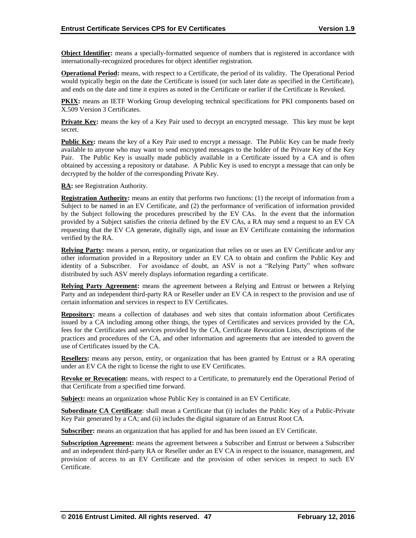**Object Identifier:** means a specially-formatted sequence of numbers that is registered in accordance with internationally-recognized procedures for object identifier registration.

**Operational Period:** means, with respect to a Certificate, the period of its validity. The Operational Period would typically begin on the date the Certificate is issued (or such later date as specified in the Certificate), and ends on the date and time it expires as noted in the Certificate or earlier if the Certificate is Revoked.

**PKIX:** means an IETF Working Group developing technical specifications for PKI components based on X.509 Version 3 Certificates.

**Private Key:** means the key of a Key Pair used to decrypt an encrypted message. This key must be kept secret.

**Public Key:** means the key of a Key Pair used to encrypt a message. The Public Key can be made freely available to anyone who may want to send encrypted messages to the holder of the Private Key of the Key Pair. The Public Key is usually made publicly available in a Certificate issued by a CA and is often obtained by accessing a repository or database. A Public Key is used to encrypt a message that can only be decrypted by the holder of the corresponding Private Key.

**RA:** see Registration Authority.

**Registration Authority:** means an entity that performs two functions: (1) the receipt of information from a Subject to be named in an EV Certificate, and (2) the performance of verification of information provided by the Subject following the procedures prescribed by the EV CAs. In the event that the information provided by a Subject satisfies the criteria defined by the EV CAs, a RA may send a request to an EV CA requesting that the EV CA generate, digitally sign, and issue an EV Certificate containing the information verified by the RA.

**Relying Party:** means a person, entity, or organization that relies on or uses an EV Certificate and/or any other information provided in a Repository under an EV CA to obtain and confirm the Public Key and identity of a Subscriber. For avoidance of doubt, an ASV is not a "Relying Party" when software distributed by such ASV merely displays information regarding a certificate.

**Relying Party Agreement:** means the agreement between a Relying and Entrust or between a Relying Party and an independent third-party RA or Reseller under an EV CA in respect to the provision and use of certain information and services in respect to EV Certificates.

**Repository:** means a collection of databases and web sites that contain information about Certificates issued by a CA including among other things, the types of Certificates and services provided by the CA, fees for the Certificates and services provided by the CA, Certificate Revocation Lists, descriptions of the practices and procedures of the CA, and other information and agreements that are intended to govern the use of Certificates issued by the CA.

**Resellers:** means any person, entity, or organization that has been granted by Entrust or a RA operating under an EV CA the right to license the right to use EV Certificates.

**Revoke or Revocation:** means, with respect to a Certificate, to prematurely end the Operational Period of that Certificate from a specified time forward.

**Subject:** means an organization whose Public Key is contained in an EV Certificate.

**Subordinate CA Certificate**: shall mean a Certificate that (i) includes the Public Key of a Public-Private Key Pair generated by a CA; and (ii) includes the digital signature of an Entrust Root CA.

**Subscriber:** means an organization that has applied for and has been issued an EV Certificate.

**Subscription Agreement:** means the agreement between a Subscriber and Entrust or between a Subscriber and an independent third-party RA or Reseller under an EV CA in respect to the issuance, management, and provision of access to an EV Certificate and the provision of other services in respect to such EV Certificate.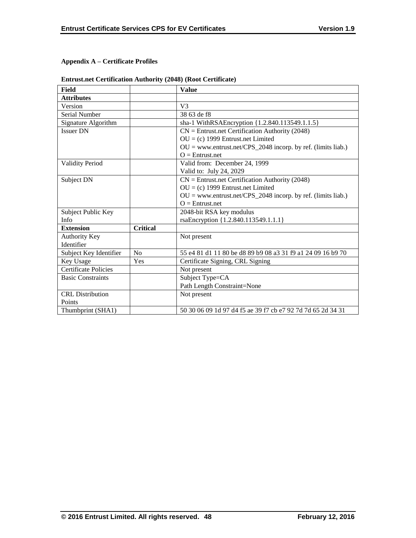# **Appendix A – Certificate Profiles**

| Field                       |                 | <b>Value</b>                                                   |
|-----------------------------|-----------------|----------------------------------------------------------------|
| <b>Attributes</b>           |                 |                                                                |
| Version                     |                 | V <sub>3</sub>                                                 |
| Serial Number               |                 | 38 63 de f8                                                    |
| Signature Algorithm         |                 | sha-1 WithRSAEncryption {1.2.840.113549.1.1.5}                 |
| <b>Issuer DN</b>            |                 | $CN =$ Entrust.net Certification Authority (2048)              |
|                             |                 | $OU = (c)$ 1999 Entrust.net Limited                            |
|                             |                 | $OU = www.entrust.net/CPS_2048 incorp. by ref. (limits liab.)$ |
|                             |                 | $O =$ Entrust.net                                              |
| <b>Validity Period</b>      |                 | Valid from: December 24, 1999                                  |
|                             |                 | Valid to: July 24, 2029                                        |
| Subject DN                  |                 | $CN =$ Entrust.net Certification Authority (2048)              |
|                             |                 | $OU = (c)$ 1999 Entrust.net Limited                            |
|                             |                 | $OU = www.entrust.net/CPS_2048 incorp. by ref. (limits liab.)$ |
|                             |                 | $Q =$ Entrust.net                                              |
| Subject Public Key          |                 | 2048-bit RSA key modulus                                       |
| Info                        |                 | rsaEncryption {1.2.840.113549.1.1.1}                           |
| <b>Extension</b>            | <b>Critical</b> |                                                                |
| <b>Authority Key</b>        |                 | Not present                                                    |
| Identifier                  |                 |                                                                |
| Subject Key Identifier      | No              | 55 e4 81 d1 11 80 be d8 89 b9 08 a3 31 f9 a1 24 09 16 b9 70    |
| Key Usage                   | Yes             | Certificate Signing, CRL Signing                               |
| <b>Certificate Policies</b> |                 | Not present                                                    |
| <b>Basic Constraints</b>    |                 | Subject Type=CA                                                |
|                             |                 | Path Length Constraint=None                                    |
| <b>CRL</b> Distribution     |                 | Not present                                                    |
| Points                      |                 |                                                                |
| Thumbprint (SHA1)           |                 | 50 30 06 09 1d 97 d4 f5 ae 39 f7 cb e7 92 7d 7d 65 2d 34 31    |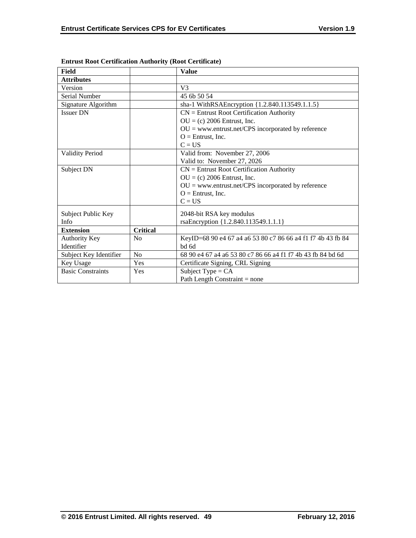| Field                    |                 | <b>Value</b>                                                |
|--------------------------|-----------------|-------------------------------------------------------------|
| <b>Attributes</b>        |                 |                                                             |
| Version                  |                 | V <sub>3</sub>                                              |
| Serial Number            |                 | 45 6b 50 54                                                 |
| Signature Algorithm      |                 | sha-1 WithRSAEncryption {1.2.840.113549.1.1.5}              |
| <b>Issuer DN</b>         |                 | $CN =$ Entrust Root Certification Authority                 |
|                          |                 | $OU = (c) 2006$ Entrust, Inc.                               |
|                          |                 | $OU =$ www.entrust.net/CPS incorporated by reference        |
|                          |                 | $O =$ Entrust, Inc.                                         |
|                          |                 | $C = US$                                                    |
| <b>Validity Period</b>   |                 | Valid from: November 27, 2006                               |
|                          |                 | Valid to: November 27, 2026                                 |
| Subject DN               |                 | $CN =$ Entrust Root Certification Authority                 |
|                          |                 | $OU = (c) 2006$ Entrust, Inc.                               |
|                          |                 | $OU =$ www.entrust.net/CPS incorporated by reference        |
|                          |                 | $O =$ Entrust, Inc.                                         |
|                          |                 | $C = US$                                                    |
| Subject Public Key       |                 | 2048-bit RSA key modulus                                    |
| Info                     |                 | rsaEncryption {1.2.840.113549.1.1.1}                        |
| <b>Extension</b>         | <b>Critical</b> |                                                             |
| <b>Authority Key</b>     | N <sub>0</sub>  | KeyID=68 90 e4 67 a4 a6 53 80 c7 86 66 a4 f1 f7 4b 43 fb 84 |
| Identifier               |                 | bd 6d                                                       |
| Subject Key Identifier   | No              | 68 90 e4 67 a4 a6 53 80 c7 86 66 a4 f1 f7 4b 43 fb 84 bd 6d |
| Key Usage                | Yes             | Certificate Signing, CRL Signing                            |
| <b>Basic Constraints</b> | Yes             | Subject Type = $CA$                                         |
|                          |                 | Path Length Constraint $=$ none                             |

**Entrust Root Certification Authority (Root Certificate)**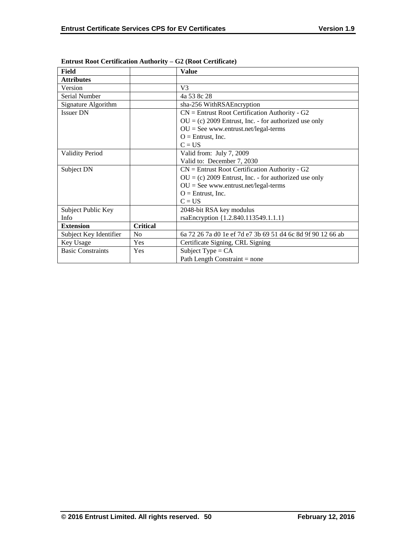| Field                    |                 | <b>Value</b>                                                |
|--------------------------|-----------------|-------------------------------------------------------------|
| <b>Attributes</b>        |                 |                                                             |
| Version                  |                 | V <sub>3</sub>                                              |
| Serial Number            |                 | 4a 53 8c 28                                                 |
| Signature Algorithm      |                 | sha-256 WithRSAEncryption                                   |
| <b>Issuer DN</b>         |                 | $CN =$ Entrust Root Certification Authority - G2            |
|                          |                 | $OU = (c) 2009$ Entrust, Inc. - for authorized use only     |
|                          |                 | $OU = See$ www.entrust.net/legal-terms                      |
|                          |                 | $O =$ Entrust, Inc.                                         |
|                          |                 | $C = US$                                                    |
| <b>Validity Period</b>   |                 | Valid from: July 7, 2009                                    |
|                          |                 | Valid to: December 7, 2030                                  |
| Subject DN               |                 | $CN =$ Entrust Root Certification Authority - G2            |
|                          |                 | $OU = (c) 2009$ Entrust, Inc. - for authorized use only     |
|                          |                 | $OU = See$ www.entrust.net/legal-terms                      |
|                          |                 | $O =$ Entrust, Inc.                                         |
|                          |                 | $C = US$                                                    |
| Subject Public Key       |                 | 2048-bit RSA key modulus                                    |
| Info                     |                 | rsaEncryption {1.2.840.113549.1.1.1}                        |
| <b>Extension</b>         | <b>Critical</b> |                                                             |
| Subject Key Identifier   | N <sub>o</sub>  | 6a 72 26 7a d0 1e ef 7d e7 3b 69 51 d4 6c 8d 9f 90 12 66 ab |
| Key Usage                | Yes             | Certificate Signing, CRL Signing                            |
| <b>Basic Constraints</b> | Yes             | Subject Type = $CA$                                         |
|                          |                 | Path Length Constraint $=$ none                             |

**Entrust Root Certification Authority – G2 (Root Certificate)**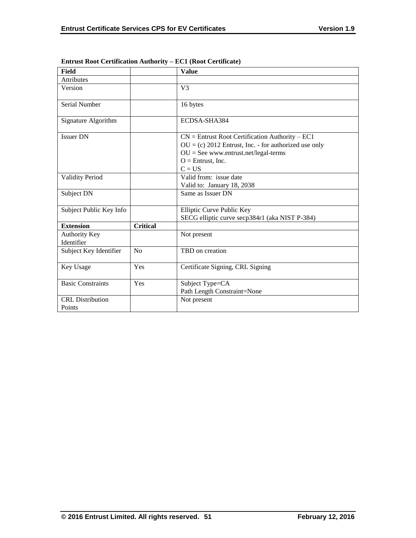| <b>Field</b>                       |                 | <b>Value</b>                                                                                                                                                                              |
|------------------------------------|-----------------|-------------------------------------------------------------------------------------------------------------------------------------------------------------------------------------------|
| <b>Attributes</b>                  |                 |                                                                                                                                                                                           |
| Version                            |                 | V <sub>3</sub>                                                                                                                                                                            |
| Serial Number                      |                 | 16 bytes                                                                                                                                                                                  |
| Signature Algorithm                |                 | ECDSA-SHA384                                                                                                                                                                              |
| <b>Issuer DN</b>                   |                 | $CN =$ Entrust Root Certification Authority - EC1<br>$OU = (c) 2012$ Entrust, Inc. - for authorized use only<br>$OU = See$ www.entrust.net/legal-terms<br>$O =$ Entrust, Inc.<br>$C = US$ |
| <b>Validity Period</b>             |                 | Valid from: issue date<br>Valid to: January 18, 2038                                                                                                                                      |
| Subject DN                         |                 | Same as Issuer DN                                                                                                                                                                         |
| Subject Public Key Info            |                 | Elliptic Curve Public Key<br>SECG elliptic curve secp384r1 (aka NIST P-384)                                                                                                               |
| <b>Extension</b>                   | <b>Critical</b> |                                                                                                                                                                                           |
| <b>Authority Key</b><br>Identifier |                 | Not present                                                                                                                                                                               |
| Subject Key Identifier             | No              | TBD on creation                                                                                                                                                                           |
| Key Usage                          | Yes             | Certificate Signing, CRL Signing                                                                                                                                                          |
| <b>Basic Constraints</b>           | Yes             | Subject Type=CA<br>Path Length Constraint=None                                                                                                                                            |
| <b>CRL</b> Distribution<br>Points  |                 | Not present                                                                                                                                                                               |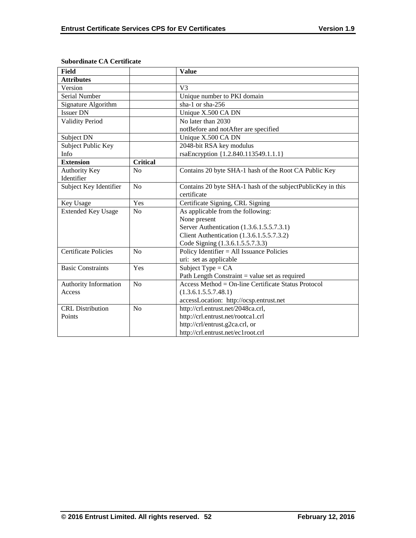| <b>Field</b>                |                 | <b>Value</b>                                                |
|-----------------------------|-----------------|-------------------------------------------------------------|
| <b>Attributes</b>           |                 |                                                             |
| Version                     |                 | V3                                                          |
| Serial Number               |                 | Unique number to PKI domain                                 |
| Signature Algorithm         |                 | sha-1 or sha-256                                            |
| <b>Issuer DN</b>            |                 | Unique X.500 CA DN                                          |
| <b>Validity Period</b>      |                 | No later than 2030                                          |
|                             |                 | notBefore and notAfter are specified                        |
| Subject DN                  |                 | Unique X.500 CA DN                                          |
| Subject Public Key          |                 | 2048-bit RSA key modulus                                    |
| Info                        |                 | rsaEncryption {1.2.840.113549.1.1.1}                        |
| <b>Extension</b>            | <b>Critical</b> |                                                             |
| <b>Authority Key</b>        | N <sub>0</sub>  | Contains 20 byte SHA-1 hash of the Root CA Public Key       |
| Identifier                  |                 |                                                             |
| Subject Key Identifier      | No              | Contains 20 byte SHA-1 hash of the subjectPublicKey in this |
|                             |                 | certificate                                                 |
| Key Usage                   | Yes             | Certificate Signing, CRL Signing                            |
| <b>Extended Key Usage</b>   | No              | As applicable from the following:                           |
|                             |                 | None present                                                |
|                             |                 | Server Authentication (1.3.6.1.5.5.7.3.1)                   |
|                             |                 | Client Authentication (1.3.6.1.5.5.7.3.2)                   |
|                             |                 | Code Signing (1.3.6.1.5.5.7.3.3)                            |
| <b>Certificate Policies</b> | No              | Policy Identifier = All Issuance Policies                   |
|                             |                 | uri: set as applicable                                      |
| <b>Basic Constraints</b>    | Yes             | Subject Type = $CA$                                         |
|                             |                 | Path Length Constraint = value set as required              |
| Authority Information       | No              | Access Method = On-line Certificate Status Protocol         |
| Access                      |                 | (1.3.6.1.5.5.7.48.1)                                        |
|                             |                 | accessLocation: http://ocsp.entrust.net                     |
| <b>CRL</b> Distribution     | No              | http://crl.entrust.net/2048ca.crl,                          |
| Points                      |                 | http://crl.entrust.net/rootca1.crl                          |
|                             |                 | http://crl/entrust.g2ca.crl, or                             |
|                             |                 | http://crl.entrust.net/ec1root.crl                          |

## **Subordinate CA Certificate**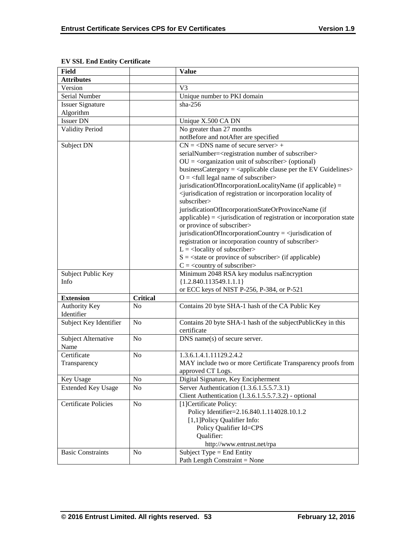| <b>Field</b>                |                 | <b>Value</b>                                                                                          |
|-----------------------------|-----------------|-------------------------------------------------------------------------------------------------------|
| <b>Attributes</b>           |                 |                                                                                                       |
| Version                     |                 | V <sub>3</sub>                                                                                        |
| Serial Number               |                 | Unique number to PKI domain                                                                           |
| <b>Issuer Signature</b>     |                 | sha- $256$                                                                                            |
| Algorithm                   |                 |                                                                                                       |
| <b>Issuer DN</b>            |                 | Unique X.500 CA DN                                                                                    |
| <b>Validity Period</b>      |                 | No greater than 27 months                                                                             |
|                             |                 | notBefore and notAfter are specified                                                                  |
| Subject DN                  |                 | $CN = <$ DNS name of secure server> +                                                                 |
|                             |                 | serialNumber= <registration number="" of="" subscriber=""></registration>                             |
|                             |                 | $OU = cor$ comand $unit of$ subscriber $>$ (optional)                                                 |
|                             |                 | businessCatergory = $\langle$ applicable clause per the EV Guidelines $>$                             |
|                             |                 | $O = \left\langle \text{full legal name of subscripter} \right\rangle$                                |
|                             |                 | jurisdicationOfIncorporationLocalityName (if applicable) =                                            |
|                             |                 | <jurisdication incorporation="" locality="" of="" of<="" or="" registration="" td=""></jurisdication> |
|                             |                 | subscriber>                                                                                           |
|                             |                 | jurisdicationOfIncorporationStateOrProvinceName (if                                                   |
|                             |                 | $applicable) =$ iurisdication of registration or incorporation state                                  |
|                             |                 | or province of subscriber>                                                                            |
|                             |                 | jurisdicationOfIncorporationCountry = $\le$ jurisdication of                                          |
|                             |                 | registration or incorporation country of subscriber>                                                  |
|                             |                 | $L =$ <locality of="" subscriber=""></locality>                                                       |
|                             |                 | $S = \text{state}$ or province of subscriber $\text{in}$ (if applicable)                              |
|                             |                 | $C = \langle$ country of subscriber>                                                                  |
| Subject Public Key          |                 | Minimum 2048 RSA key modulus rsaEncryption                                                            |
| Info                        |                 | ${1.2.840.113549.1.1.1}$                                                                              |
|                             |                 | or ECC keys of NIST P-256, P-384, or P-521                                                            |
| <b>Extension</b>            | <b>Critical</b> |                                                                                                       |
| Authority Key               | N <sub>0</sub>  | Contains 20 byte SHA-1 hash of the CA Public Key                                                      |
| Identifier                  |                 |                                                                                                       |
| Subject Key Identifier      | N <sub>o</sub>  | Contains 20 byte SHA-1 hash of the subjectPublicKey in this                                           |
|                             |                 | certificate                                                                                           |
| Subject Alternative         | N <sub>o</sub>  | $DNS$ name(s) of secure server.                                                                       |
| Name                        |                 |                                                                                                       |
| Certificate                 | N <sub>0</sub>  | 1.3.6.1.4.1.11129.2.4.2                                                                               |
| Transparency                |                 | MAY include two or more Certificate Transparency proofs from                                          |
|                             |                 | approved CT Logs.                                                                                     |
|                             | N <sub>o</sub>  | Digital Signature, Key Encipherment                                                                   |
| Key Usage                   |                 | Server Authentication (1.3.6.1.5.5.7.3.1)                                                             |
| <b>Extended Key Usage</b>   | N <sub>o</sub>  |                                                                                                       |
| <b>Certificate Policies</b> |                 | Client Authentication (1.3.6.1.5.5.7.3.2) - optional<br>[1] Certificate Policy:                       |
|                             | N <sub>o</sub>  | Policy Identifier=2.16.840.1.114028.10.1.2                                                            |
|                             |                 | [1,1] Policy Qualifier Info:                                                                          |
|                             |                 |                                                                                                       |
|                             |                 | Policy Qualifier Id=CPS                                                                               |
|                             |                 | Qualifier:                                                                                            |
|                             |                 | http://www.entrust.net/rpa                                                                            |
| <b>Basic Constraints</b>    | N <sub>0</sub>  | Subject Type = End Entity                                                                             |
|                             |                 | Path Length Constraint = None                                                                         |

# **EV SSL End Entity Certificate**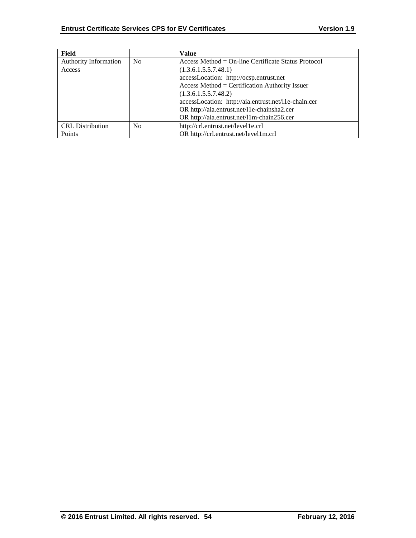| Field                        |                | <b>Value</b>                                         |
|------------------------------|----------------|------------------------------------------------------|
| <b>Authority Information</b> | N <sub>0</sub> | $Access Method = On-line Centlicate Status Protocol$ |
| Access                       |                | (1.3.6.1.5.5.7.48.1)                                 |
|                              |                | accessLocation: http://ocsp.entrust.net              |
|                              |                | Access Method = Certification Authority Issuer       |
|                              |                | (1.3.6.1.5.5.7.48.2)                                 |
|                              |                | accessLocation: http://aia.entrust.net/l1e-chain.cer |
|                              |                | OR http://aia.entrust.net/l1e-chainsha2.cer          |
|                              |                | OR http://aia.entrust.net/11m-chain256.cer           |
| <b>CRL</b> Distribution      | N <sub>0</sub> | http://crl.entrust.net/level1e.crl                   |
| Points                       |                | OR http://crl.entrust.net/level1m.crl                |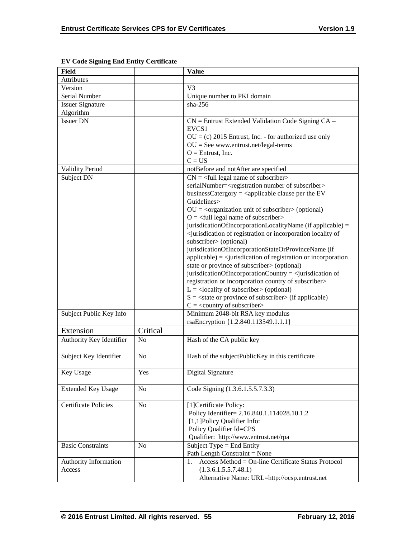| <b>Field</b>                |                | <b>Value</b>                                                                                                                                                                                                                                                                                                                                                                                                                                                                                                                                                                                                                                                                                                                                                                                                                                                                                                                                                                                                                                                                                                                                           |
|-----------------------------|----------------|--------------------------------------------------------------------------------------------------------------------------------------------------------------------------------------------------------------------------------------------------------------------------------------------------------------------------------------------------------------------------------------------------------------------------------------------------------------------------------------------------------------------------------------------------------------------------------------------------------------------------------------------------------------------------------------------------------------------------------------------------------------------------------------------------------------------------------------------------------------------------------------------------------------------------------------------------------------------------------------------------------------------------------------------------------------------------------------------------------------------------------------------------------|
| <b>Attributes</b>           |                |                                                                                                                                                                                                                                                                                                                                                                                                                                                                                                                                                                                                                                                                                                                                                                                                                                                                                                                                                                                                                                                                                                                                                        |
| Version                     |                | V <sub>3</sub>                                                                                                                                                                                                                                                                                                                                                                                                                                                                                                                                                                                                                                                                                                                                                                                                                                                                                                                                                                                                                                                                                                                                         |
| Serial Number               |                | Unique number to PKI domain                                                                                                                                                                                                                                                                                                                                                                                                                                                                                                                                                                                                                                                                                                                                                                                                                                                                                                                                                                                                                                                                                                                            |
| <b>Issuer Signature</b>     |                | sha- $256$                                                                                                                                                                                                                                                                                                                                                                                                                                                                                                                                                                                                                                                                                                                                                                                                                                                                                                                                                                                                                                                                                                                                             |
| Algorithm                   |                |                                                                                                                                                                                                                                                                                                                                                                                                                                                                                                                                                                                                                                                                                                                                                                                                                                                                                                                                                                                                                                                                                                                                                        |
| <b>Issuer DN</b>            |                | $CN =$ Entrust Extended Validation Code Signing $CA -$<br>EVCS <sub>1</sub><br>$OU = (c) 2015$ Entrust, Inc. - for authorized use only<br>$OU = See$ www.entrust.net/legal-terms<br>$O =$ Entrust, Inc.<br>$C = US$                                                                                                                                                                                                                                                                                                                                                                                                                                                                                                                                                                                                                                                                                                                                                                                                                                                                                                                                    |
| <b>Validity Period</b>      |                | notBefore and notAfter are specified                                                                                                                                                                                                                                                                                                                                                                                                                                                                                                                                                                                                                                                                                                                                                                                                                                                                                                                                                                                                                                                                                                                   |
| Subject DN                  |                | $CN =$ <full legal="" name="" of="" subscriber=""><br/>serialNumber=<registration number="" of="" subscriber=""><br/>businessCatergory = <math>\langle</math>applicable clause per the EV<br/>Guidelines&gt;<br/><math>OU = corganization unit of subscripter &gt; (optional)</math><br/><math>O = \left\langle \text{full legal name of subscripter} \right\rangle</math><br/>jurisdicationOfIncorporationLocalityName (if applicable) =<br/><jurisdication incorporation="" locality="" of="" of<br="" or="" registration="">subscriber&gt; (optional)<br/>jurisdicationOfIncorporationStateOrProvinceName (if<br/><math>applicable) = \langle</math>jurisdication of registration or incorporation<br/>state or province of subscriber&gt; (optional)<br/>jurisdicationOfIncorporationCountry = <math>\le</math>jurisdication of<br/>registration or incorporation country of subscriber&gt;<br/><math>L =</math><locality of="" subscriber=""> (optional)<br/><math>S = \text{state}</math> or province of subscriber &gt; (if applicable)<br/><math>C = \langle</math> country of subscriber&gt;</locality></jurisdication></registration></full> |
| Subject Public Key Info     |                | Minimum 2048-bit RSA key modulus<br>rsaEncryption {1.2.840.113549.1.1.1}                                                                                                                                                                                                                                                                                                                                                                                                                                                                                                                                                                                                                                                                                                                                                                                                                                                                                                                                                                                                                                                                               |
| Extension                   | Critical       |                                                                                                                                                                                                                                                                                                                                                                                                                                                                                                                                                                                                                                                                                                                                                                                                                                                                                                                                                                                                                                                                                                                                                        |
| Authority Key Identifier    | N <sub>o</sub> | Hash of the CA public key                                                                                                                                                                                                                                                                                                                                                                                                                                                                                                                                                                                                                                                                                                                                                                                                                                                                                                                                                                                                                                                                                                                              |
| Subject Key Identifier      | N <sub>o</sub> | Hash of the subjectPublicKey in this certificate                                                                                                                                                                                                                                                                                                                                                                                                                                                                                                                                                                                                                                                                                                                                                                                                                                                                                                                                                                                                                                                                                                       |
| Key Usage                   | Yes            | Digital Signature                                                                                                                                                                                                                                                                                                                                                                                                                                                                                                                                                                                                                                                                                                                                                                                                                                                                                                                                                                                                                                                                                                                                      |
| <b>Extended Key Usage</b>   | No             | Code Signing (1.3.6.1.5.5.7.3.3)                                                                                                                                                                                                                                                                                                                                                                                                                                                                                                                                                                                                                                                                                                                                                                                                                                                                                                                                                                                                                                                                                                                       |
| <b>Certificate Policies</b> | N <sub>o</sub> | [1]Certificate Policy:<br>Policy Identifier= 2.16.840.1.114028.10.1.2<br>[1,1] Policy Qualifier Info:<br>Policy Qualifier Id=CPS<br>Qualifier: http://www.entrust.net/rpa                                                                                                                                                                                                                                                                                                                                                                                                                                                                                                                                                                                                                                                                                                                                                                                                                                                                                                                                                                              |
| <b>Basic Constraints</b>    | N <sub>0</sub> | Subject Type = End Entity<br>Path Length Constraint = None                                                                                                                                                                                                                                                                                                                                                                                                                                                                                                                                                                                                                                                                                                                                                                                                                                                                                                                                                                                                                                                                                             |
| Authority Information       |                | Access Method = On-line Certificate Status Protocol<br>1.                                                                                                                                                                                                                                                                                                                                                                                                                                                                                                                                                                                                                                                                                                                                                                                                                                                                                                                                                                                                                                                                                              |
| Access                      |                | (1.3.6.1.5.5.7.48.1)<br>Alternative Name: URL=http://ocsp.entrust.net                                                                                                                                                                                                                                                                                                                                                                                                                                                                                                                                                                                                                                                                                                                                                                                                                                                                                                                                                                                                                                                                                  |

**EV Code Signing End Entity Certificate**